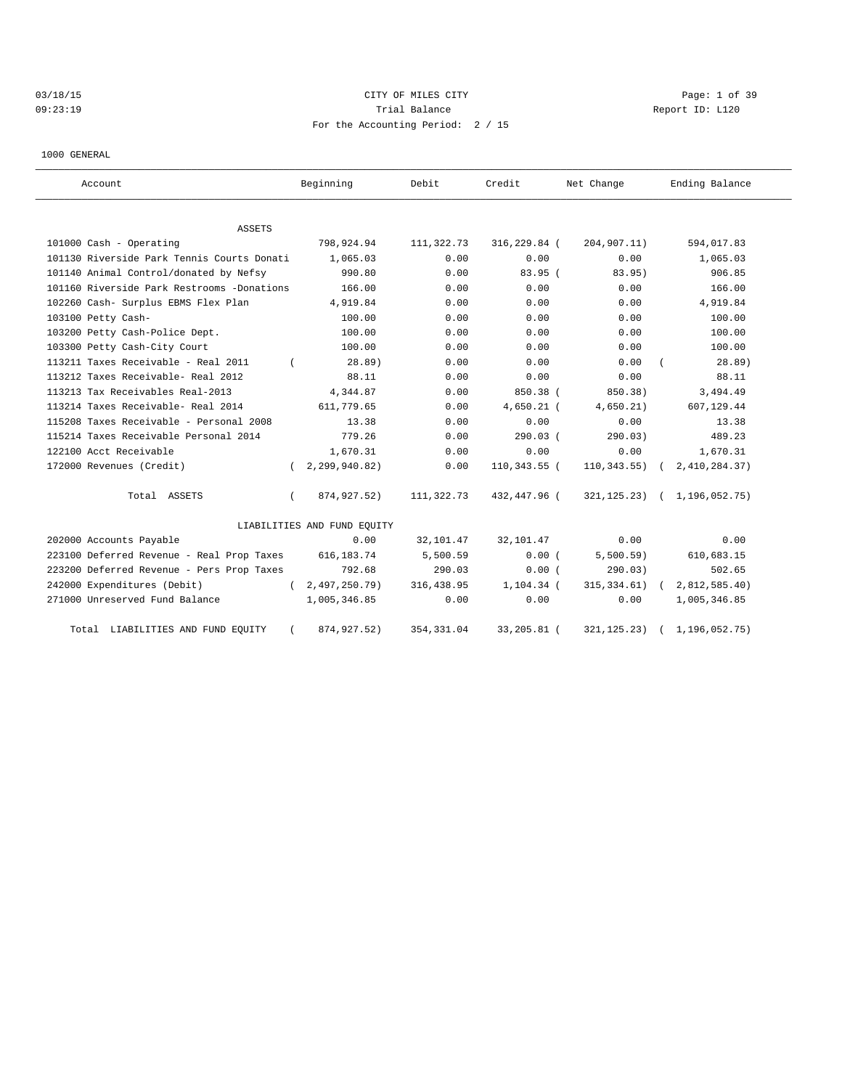# 03/18/15 CITY OF MILES CITY Page: 1 of 39 09:23:19 Report ID: L120 For the Accounting Period: 2 / 15

1000 GENERAL

| Account                                    | Beginning |                             | Debit       | Credit       | Net Change |                 | Ending Balance   |
|--------------------------------------------|-----------|-----------------------------|-------------|--------------|------------|-----------------|------------------|
| ASSETS                                     |           |                             |             |              |            |                 |                  |
| 101000 Cash - Operating                    |           | 798,924.94                  | 111,322.73  | 316,229.84 ( |            | 204,907.11)     | 594,017.83       |
| 101130 Riverside Park Tennis Courts Donati |           | 1,065.03                    | 0.00        | 0.00         |            | 0.00            | 1,065.03         |
| 101140 Animal Control/donated by Nefsy     |           | 990.80                      | 0.00        | 83.95(       |            | 83.95)          | 906.85           |
| 101160 Riverside Park Restrooms -Donations |           | 166.00                      | 0.00        | 0.00         |            | 0.00            | 166.00           |
| 102260 Cash- Surplus EBMS Flex Plan        |           | 4,919.84                    | 0.00        | 0.00         |            | 0.00            | 4,919.84         |
| 103100 Petty Cash-                         |           | 100.00                      | 0.00        | 0.00         |            | 0.00            | 100.00           |
| 103200 Petty Cash-Police Dept.             |           | 100.00                      | 0.00        | 0.00         |            | 0.00            | 100.00           |
| 103300 Petty Cash-City Court               |           | 100.00                      | 0.00        | 0.00         |            | 0.00            | 100.00           |
| 113211 Taxes Receivable - Real 2011        |           | 28.89)                      | 0.00        | 0.00         |            | 0.00            | 28.89)           |
| 113212 Taxes Receivable- Real 2012         |           | 88.11                       | 0.00        | 0.00         |            | 0.00            | 88.11            |
| 113213 Tax Receivables Real-2013           |           | 4,344.87                    | 0.00        | 850.38 (     |            | 850.38)         | 3,494.49         |
| 113214 Taxes Receivable- Real 2014         |           | 611,779.65                  | 0.00        | $4,650.21$ ( |            | 4,650.21)       | 607,129.44       |
| 115208 Taxes Receivable - Personal 2008    |           | 13.38                       | 0.00        | 0.00         |            | 0.00            | 13.38            |
| 115214 Taxes Receivable Personal 2014      |           | 779.26                      | 0.00        | $290.03$ (   |            | 290.03)         | 489.23           |
| 122100 Acct Receivable                     |           | 1,670.31                    | 0.00        | 0.00         |            | 0.00            | 1,670.31         |
| 172000 Revenues (Credit)                   | $\left($  | 2,299,940.82)               | 0.00        | 110,343.55 ( |            | $110,343.55$ (  | 2,410,284.37)    |
| Total ASSETS                               | $\left($  | 874,927.52)                 | 111,322.73  | 432,447.96 ( |            | 321,125.23)     | (1, 196, 052.75) |
|                                            |           | LIABILITIES AND FUND EQUITY |             |              |            |                 |                  |
| 202000 Accounts Payable                    |           | 0.00                        | 32,101.47   | 32,101.47    |            | 0.00            | 0.00             |
| 223100 Deferred Revenue - Real Prop Taxes  |           | 616, 183. 74                | 5,500.59    | 0.00(        |            | $5,500.59$ )    | 610,683.15       |
| 223200 Deferred Revenue - Pers Prop Taxes  |           | 792.68                      | 290.03      | 0.00(        |            | 290.03)         | 502.65           |
| 242000 Expenditures (Debit)                | $\left($  | 2,497,250.79)               | 316, 438.95 | 1,104.34 (   |            | $315, 334.61$ ( | 2,812,585.40)    |
| 271000 Unreserved Fund Balance             |           | 1,005,346.85                | 0.00        | 0.00         |            | 0.00            | 1,005,346.85     |
| Total LIABILITIES AND FUND EQUITY          |           | 874, 927.52)                | 354, 331.04 | 33,205.81 (  |            | 321, 125. 23)   | 1,196,052.75)    |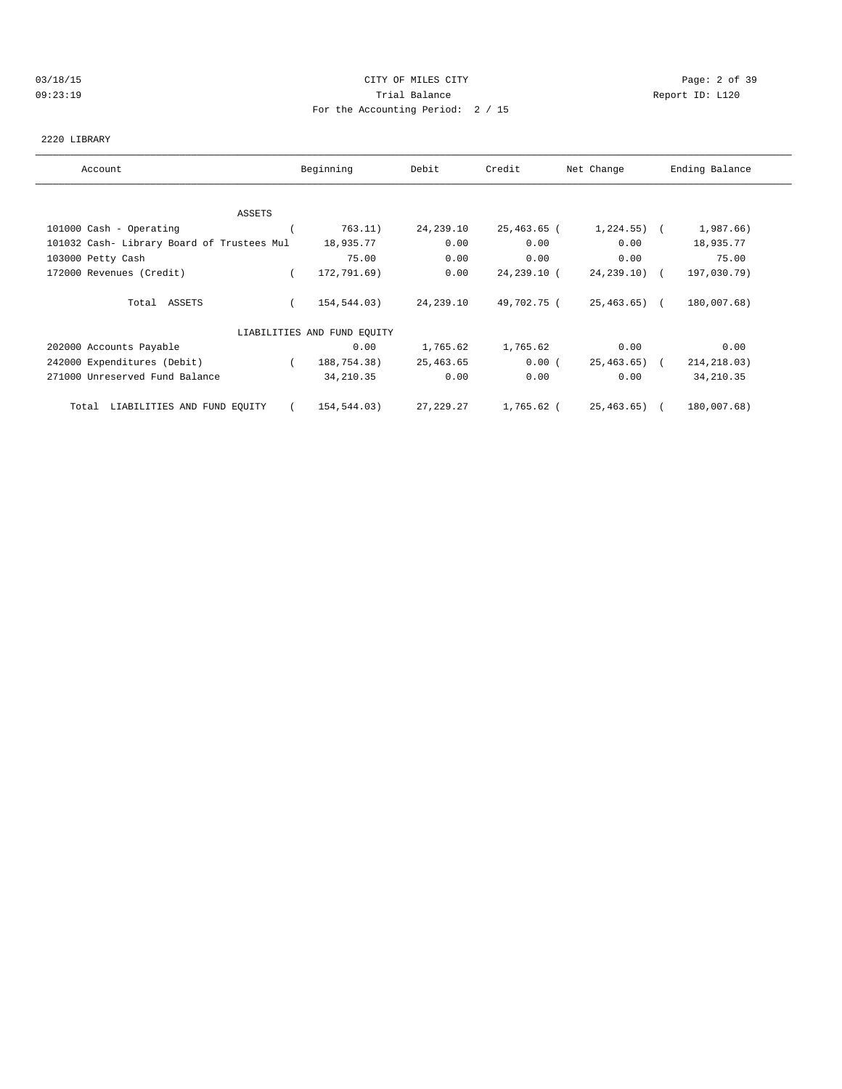### 03/18/15 CITY OF MILES CITY Page: 2 of 39 09:23:19 Trial Balance Report ID: L120 For the Accounting Period: 2 / 15

### 2220 LIBRARY

| Account                                    | Beginning                   | Debit       | Credit      | Net Change      | Ending Balance |
|--------------------------------------------|-----------------------------|-------------|-------------|-----------------|----------------|
|                                            |                             |             |             |                 |                |
| ASSETS                                     |                             |             |             |                 |                |
| 101000 Cash - Operating                    | 763.11)                     | 24,239.10   | 25,463.65 ( | $1,224.55$ ) (  | 1,987.66)      |
| 101032 Cash- Library Board of Trustees Mul | 18,935.77                   | 0.00        | 0.00        | 0.00            | 18,935.77      |
| 103000 Petty Cash                          | 75.00                       | 0.00        | 0.00        | 0.00            | 75.00          |
| 172000 Revenues (Credit)                   | 172,791.69)                 | 0.00        | 24,239.10 ( | $24, 239, 10$ ( | 197,030.79)    |
| Total ASSETS                               | 154,544.03)                 | 24,239.10   | 49,702.75 ( | $25,463.65$ (   | 180,007.68)    |
|                                            | LIABILITIES AND FUND EQUITY |             |             |                 |                |
| 202000 Accounts Payable                    | 0.00                        | 1,765.62    | 1,765.62    | 0.00            | 0.00           |
| 242000 Expenditures (Debit)                | 188,754.38)<br>$\left($     | 25,463.65   | 0.00(       | $25,463.65$ (   | 214, 218.03)   |
| 271000 Unreserved Fund Balance             | 34, 210.35                  | 0.00        | 0.00        | 0.00            | 34, 210.35     |
| LIABILITIES AND FUND EQUITY<br>Total       | 154,544.03)                 | 27, 229. 27 | 1,765.62 (  | 25,463.65) (    | 180,007.68)    |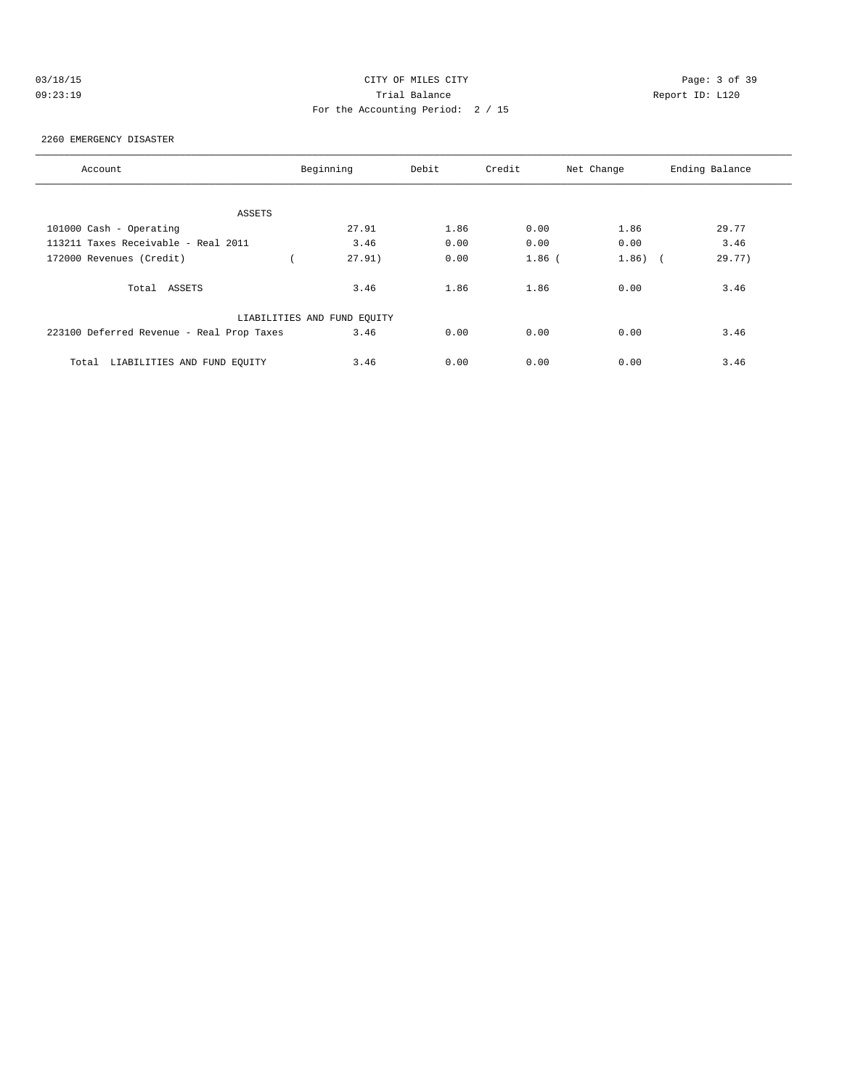| 03/18/15 |  |
|----------|--|
| 00.22.19 |  |

# CITY OF MILES CITY CONTROL CONTROL CONTROL CONTROL CONTROL PAGE: 3 of 39 09:23:19 Trial Balance Report ID: L120 For the Accounting Period: 2 / 15

### 2260 EMERGENCY DISASTER

| Account                                   | Beginning                   | Debit | Credit   | Net Change | Ending Balance |  |  |  |  |  |
|-------------------------------------------|-----------------------------|-------|----------|------------|----------------|--|--|--|--|--|
|                                           |                             |       |          |            |                |  |  |  |  |  |
| ASSETS                                    |                             |       |          |            |                |  |  |  |  |  |
| 101000 Cash - Operating                   | 27.91                       | 1.86  | 0.00     | 1.86       | 29.77          |  |  |  |  |  |
| 113211 Taxes Receivable - Real 2011       | 3.46                        | 0.00  | 0.00     | 0.00       | 3.46           |  |  |  |  |  |
| 172000 Revenues (Credit)                  | 27.91)                      | 0.00  | $1.86$ ( | $1.86)$ (  | 29.77)         |  |  |  |  |  |
| Total ASSETS                              | 3.46                        | 1.86  | 1.86     | 0.00       | 3.46           |  |  |  |  |  |
|                                           | LIABILITIES AND FUND EQUITY |       |          |            |                |  |  |  |  |  |
| 223100 Deferred Revenue - Real Prop Taxes | 3.46                        | 0.00  | 0.00     | 0.00       | 3.46           |  |  |  |  |  |
| LIABILITIES AND FUND EQUITY<br>Total      | 3.46                        | 0.00  | 0.00     | 0.00       | 3.46           |  |  |  |  |  |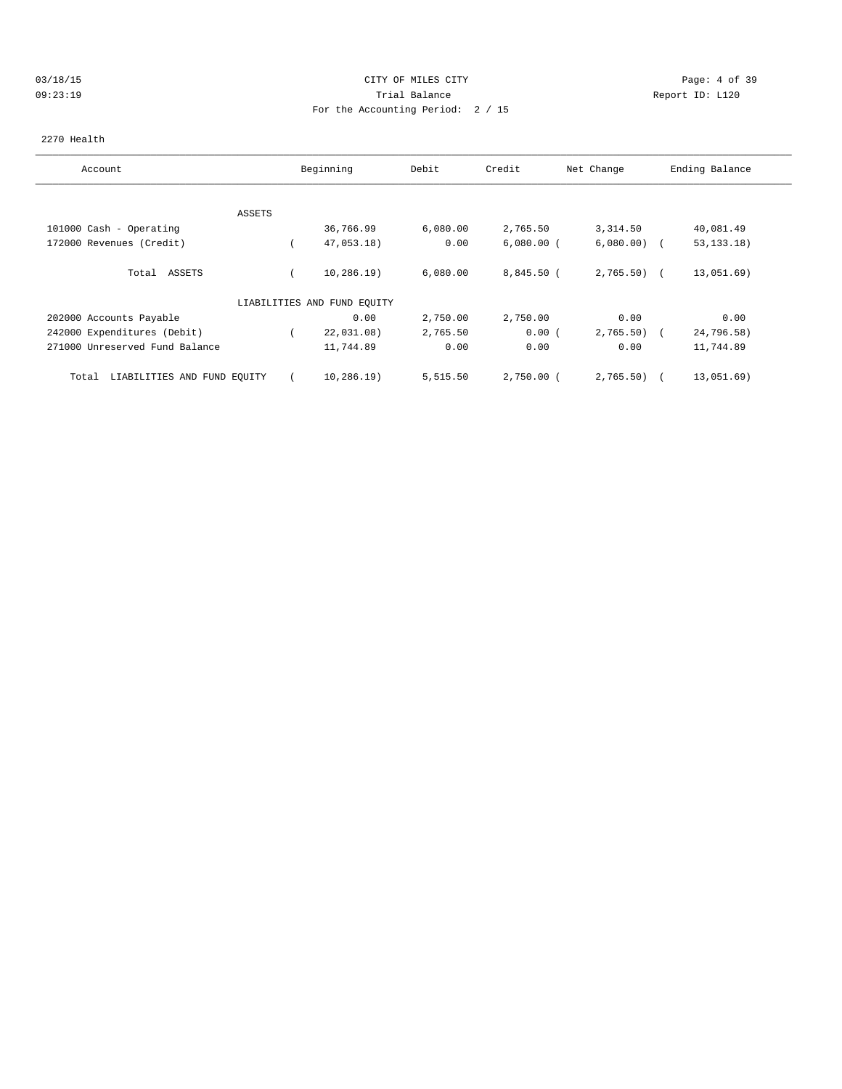### 03/18/15 Page: 4 of 39 09:23:19 Trial Balance Report ID: L120 For the Accounting Period: 2 / 15

### 2270 Health

| Account                              |        | Beginning                   | Debit    | Credit       | Net Change    | Ending Balance |
|--------------------------------------|--------|-----------------------------|----------|--------------|---------------|----------------|
|                                      |        |                             |          |              |               |                |
|                                      | ASSETS |                             |          |              |               |                |
| 101000 Cash - Operating              |        | 36,766.99                   | 6,080.00 | 2,765.50     | 3,314.50      | 40,081.49      |
| 172000 Revenues (Credit)             |        | 47,053.18)                  | 0.00     | $6,080.00$ ( | $6,080.00)$ ( | 53, 133, 18)   |
| ASSETS<br>Total                      |        | 10, 286.19)                 | 6,080.00 | $8,845.50$ ( | $2,765.50$ (  | 13,051.69)     |
|                                      |        | LIABILITIES AND FUND EQUITY |          |              |               |                |
| 202000 Accounts Payable              |        | 0.00                        | 2,750.00 | 2,750.00     | 0.00          | 0.00           |
| 242000 Expenditures (Debit)          |        | 22,031.08)                  | 2,765.50 | 0.00(        | 2,765.50)     | 24,796.58)     |
| 271000 Unreserved Fund Balance       |        | 11,744.89                   | 0.00     | 0.00         | 0.00          | 11,744.89      |
| LIABILITIES AND FUND EQUITY<br>Total |        | $10, 286.19$ )              | 5,515.50 | $2,750.00$ ( | 2,765.50)     | 13,051.69)     |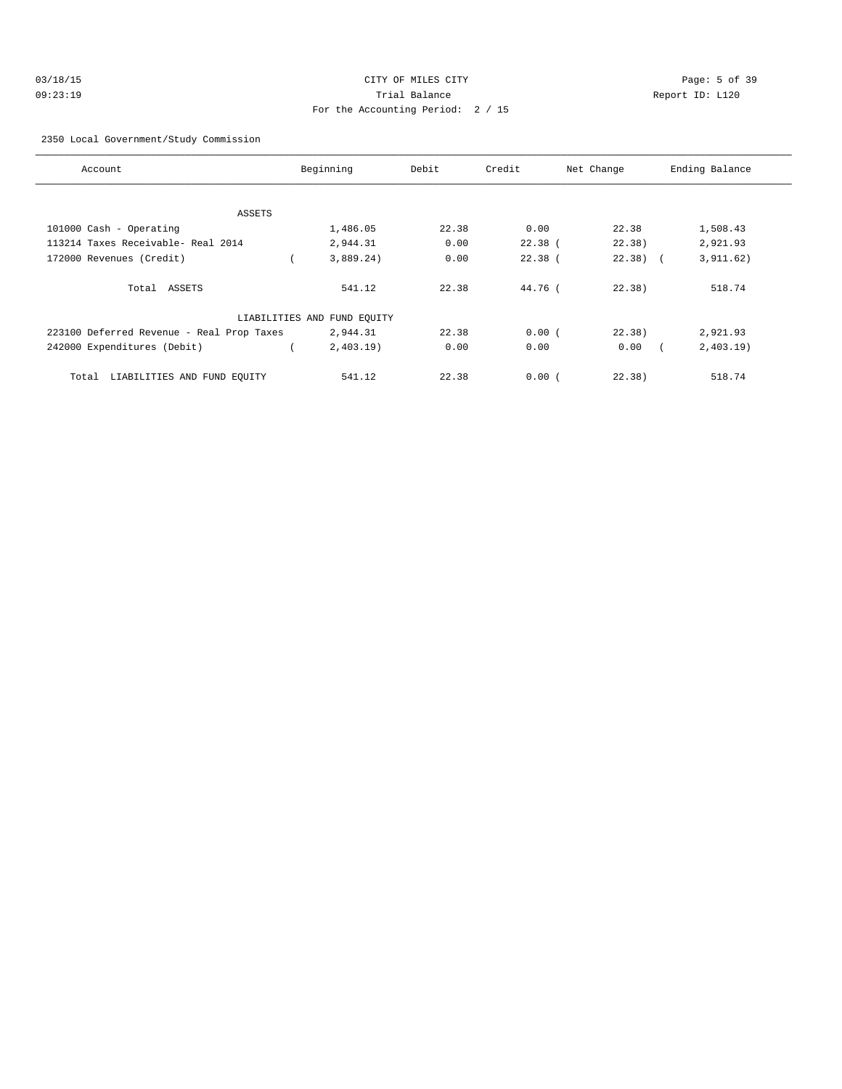| 03/18/15 | CITY OF MILES CITY                | Page: 5 of 39   |
|----------|-----------------------------------|-----------------|
| 09:23:19 | Trial Balance                     | Report ID: L120 |
|          | For the Accounting Period: 2 / 15 |                 |

2350 Local Government/Study Commission

| Account                                   | Beginning                   | Debit | Credit    | Net Change | Ending Balance |
|-------------------------------------------|-----------------------------|-------|-----------|------------|----------------|
|                                           |                             |       |           |            |                |
| ASSETS                                    |                             |       |           |            |                |
| 101000 Cash - Operating                   | 1,486.05                    | 22.38 | 0.00      | 22.38      | 1,508.43       |
| 113214 Taxes Receivable- Real 2014        | 2,944.31                    | 0.00  | $22.38$ ( | 22.38)     | 2,921.93       |
| 172000 Revenues (Credit)                  | 3,889.24)                   | 0.00  | $22.38$ ( | $22.38$ (  | 3, 911.62)     |
| Total ASSETS                              | 541.12                      | 22.38 | 44.76 (   | 22.38      | 518.74         |
|                                           | LIABILITIES AND FUND EQUITY |       |           |            |                |
| 223100 Deferred Revenue - Real Prop Taxes | 2,944.31                    | 22.38 | 0.00(     | 22.38)     | 2,921.93       |
| 242000 Expenditures (Debit)               | 2,403.19                    | 0.00  | 0.00      | 0.00       | 2,403.19       |
| LIABILITIES AND FUND EQUITY<br>Total      | 541.12                      | 22.38 | 0.00(     | 22.38)     | 518.74         |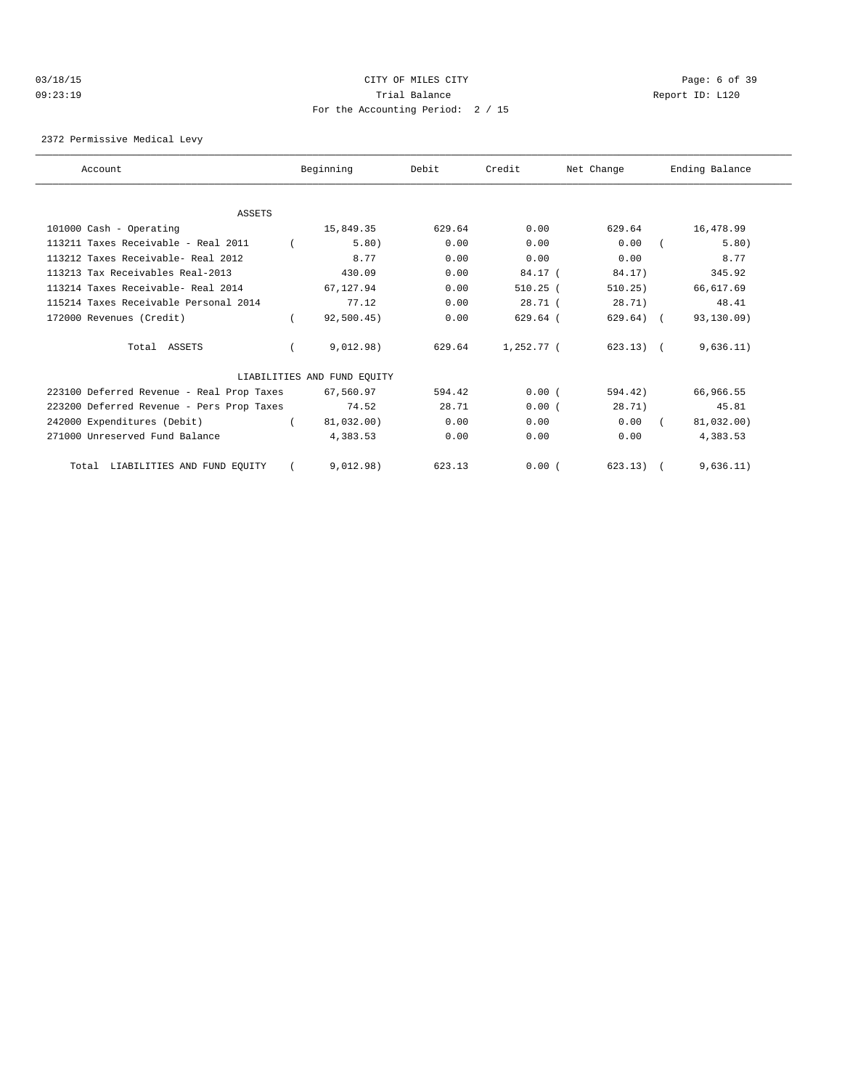### 03/18/15 CITY OF MILES CITY Page: 6 of 39 09:23:19 Trial Balance Report ID: L120 For the Accounting Period: 2 / 15

2372 Permissive Medical Levy

| Account                                   | Beginning                   | Debit  | Credit       | Net Change   | Ending Balance |
|-------------------------------------------|-----------------------------|--------|--------------|--------------|----------------|
|                                           |                             |        |              |              |                |
| <b>ASSETS</b>                             |                             |        |              |              |                |
| 101000 Cash - Operating                   | 15,849.35                   | 629.64 | 0.00         | 629.64       | 16,478.99      |
| 113211 Taxes Receivable - Real 2011       | 5.80)                       | 0.00   | 0.00         | 0.00         | 5.80)          |
| 113212 Taxes Receivable- Real 2012        | 8.77                        | 0.00   | 0.00         | 0.00         | 8.77           |
| 113213 Tax Receivables Real-2013          | 430.09                      | 0.00   | 84.17 (      | 84.17)       | 345.92         |
| 113214 Taxes Receivable- Real 2014        | 67.127.94                   | 0.00   | $510.25$ (   | 510.25)      | 66,617.69      |
| 115214 Taxes Receivable Personal 2014     | 77.12                       | 0.00   | 28.71(       | 28.71)       | 48.41          |
| 172000 Revenues (Credit)                  | 92,500.45)                  | 0.00   | $629.64$ (   | $629.64$ ) ( | 93,130.09)     |
| Total ASSETS                              | 9.012.98)                   | 629.64 | $1.252.77$ ( | $623.13$ (   | 9,636.11)      |
|                                           | LIABILITIES AND FUND EQUITY |        |              |              |                |
| 223100 Deferred Revenue - Real Prop Taxes | 67,560.97                   | 594.42 | 0.00(        | 594.42)      | 66,966.55      |
| 223200 Deferred Revenue - Pers Prop Taxes | 74.52                       | 28.71  | 0.00(        | 28.71)       | 45.81          |
| 242000 Expenditures (Debit)               | 81,032.00)                  | 0.00   | 0.00         | 0.00         | 81,032.00)     |
| 271000 Unreserved Fund Balance            | 4,383.53                    | 0.00   | 0.00         | 0.00         | 4,383.53       |
| Total LIABILITIES AND FUND EQUITY         | 9,012.98)                   | 623.13 | 0.00(        | $623.13)$ (  | 9,636.11)      |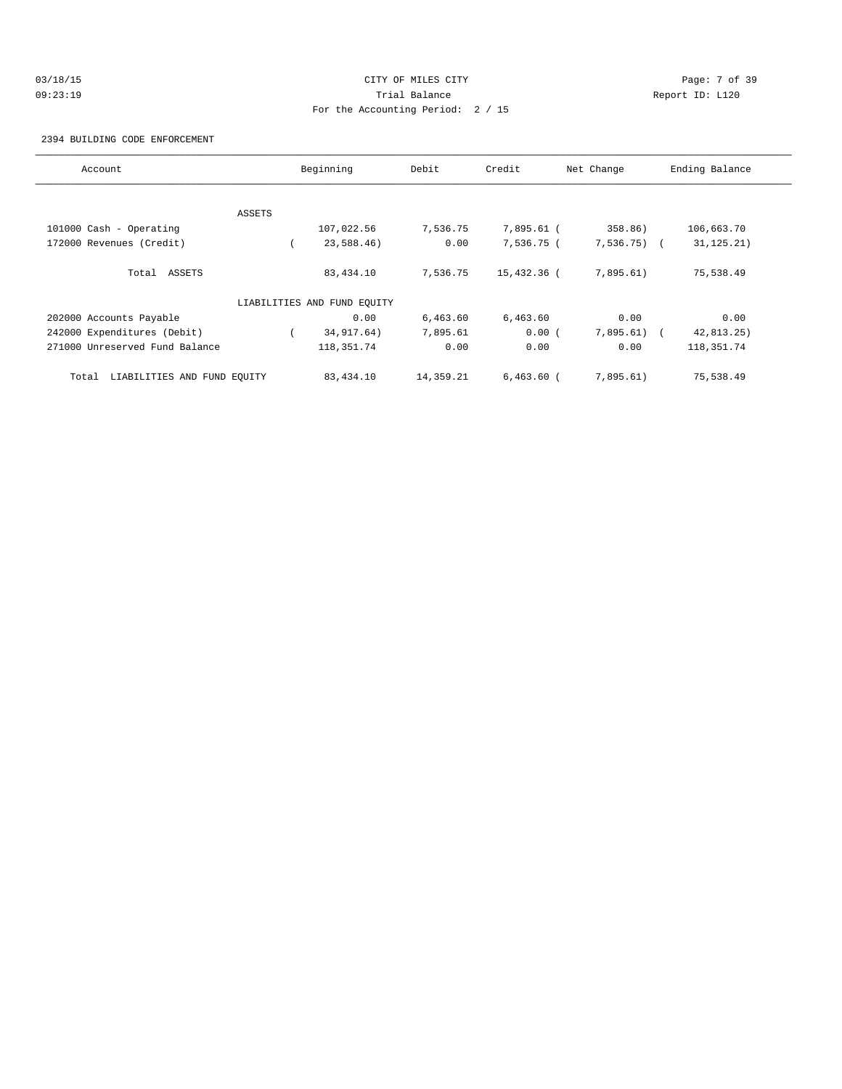# 03/18/15 Page: 7 of 39 09:23:19 Trial Balance Report ID: L120 For the Accounting Period: 2 / 15

2394 BUILDING CODE ENFORCEMENT

| Account                              |        | Beginning                   | Debit     | Credit       | Net Change   | Ending Balance |
|--------------------------------------|--------|-----------------------------|-----------|--------------|--------------|----------------|
|                                      |        |                             |           |              |              |                |
|                                      | ASSETS |                             |           |              |              |                |
| 101000 Cash - Operating              |        | 107,022.56                  | 7,536.75  | 7,895.61 (   | 358.86)      | 106,663.70     |
| 172000 Revenues (Credit)             |        | 23,588.46)                  | 0.00      | 7,536.75 (   | $7,536.75$ ( | 31, 125.21)    |
| Total ASSETS                         |        | 83,434.10                   | 7,536.75  | 15,432.36 (  | 7,895.61)    | 75,538.49      |
|                                      |        | LIABILITIES AND FUND EQUITY |           |              |              |                |
| 202000 Accounts Payable              |        | 0.00                        | 6,463.60  | 6,463.60     | 0.00         | 0.00           |
| 242000 Expenditures (Debit)          |        | 34, 917. 64)                | 7,895.61  | 0.00(        | $7,895.61$ ( | 42, 813.25     |
| 271000 Unreserved Fund Balance       |        | 118, 351. 74                | 0.00      | 0.00         | 0.00         | 118,351.74     |
| LIABILITIES AND FUND EQUITY<br>Total |        | 83,434.10                   | 14,359.21 | $6,463.60$ ( | 7,895.61)    | 75,538.49      |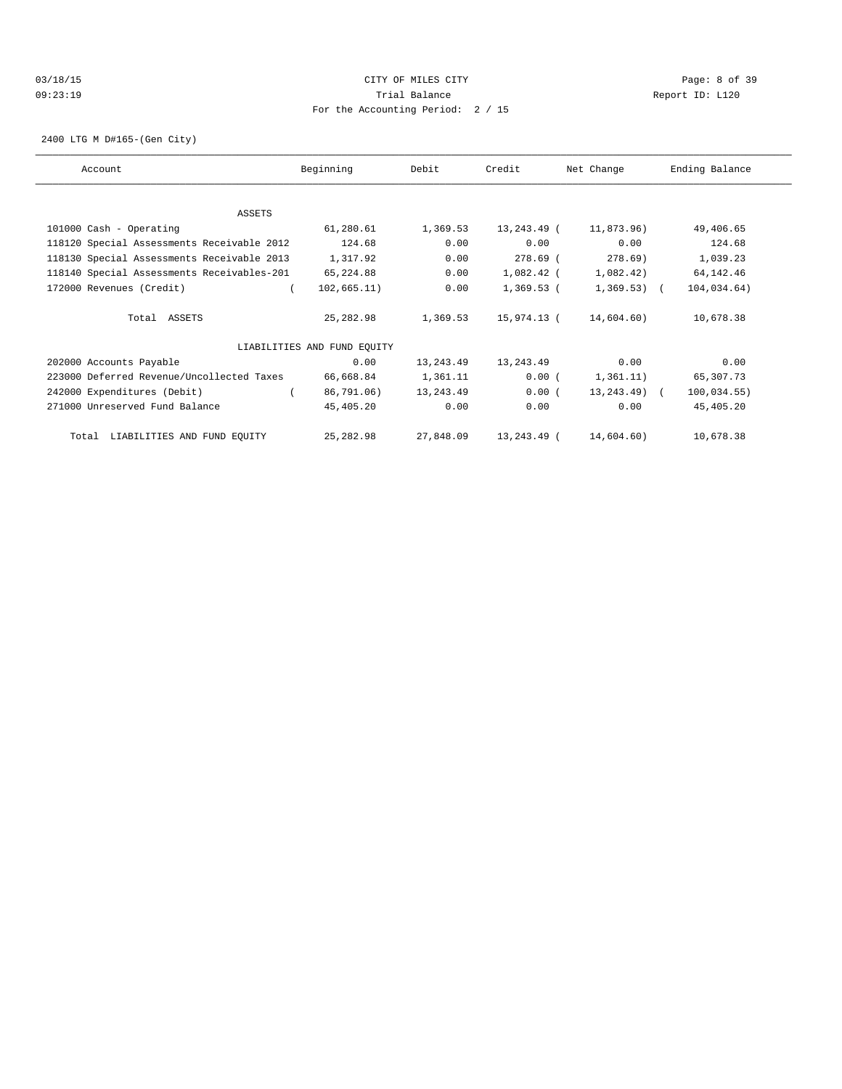### 03/18/15 Page: 8 of 39 09:23:19 Trial Balance Report ID: L120 For the Accounting Period: 2 / 15

2400 LTG M D#165-(Gen City)

| Account                                    | Beginning                   | Debit     | Credit      | Net Change     | Ending Balance |
|--------------------------------------------|-----------------------------|-----------|-------------|----------------|----------------|
| ASSETS                                     |                             |           |             |                |                |
| 101000 Cash - Operating                    | 61,280.61                   | 1,369.53  | 13,243.49 ( | 11,873.96)     | 49,406.65      |
| 118120 Special Assessments Receivable 2012 | 124.68                      | 0.00      | 0.00        | 0.00           | 124.68         |
| 118130 Special Assessments Receivable 2013 | 1,317.92                    | 0.00      | 278.69 (    | 278.69)        | 1,039.23       |
| 118140 Special Assessments Receivables-201 | 65,224.88                   | 0.00      | 1,082.42 (  | 1,082.42)      | 64, 142. 46    |
| 172000 Revenues (Credit)                   | 102,665.11)                 | 0.00      | 1,369.53 (  | $1,369.53$ ) ( | 104,034.64)    |
| Total ASSETS                               | 25,282.98                   | 1,369.53  | 15,974.13 ( | 14,604.60)     | 10,678.38      |
|                                            | LIABILITIES AND FUND EQUITY |           |             |                |                |
| 202000 Accounts Payable                    | 0.00                        | 13,243.49 | 13,243.49   | 0.00           | 0.00           |
| 223000 Deferred Revenue/Uncollected Taxes  | 66,668.84                   | 1,361.11  | 0.00(       | 1,361.11)      | 65,307.73      |
| 242000 Expenditures (Debit)                | 86,791.06)                  | 13,243.49 | 0.00(       | $13, 243.49$ ( | 100,034.55)    |
| 271000 Unreserved Fund Balance             | 45,405.20                   | 0.00      | 0.00        | 0.00           | 45,405.20      |
| Total LIABILITIES AND FUND EQUITY          | 25,282.98                   | 27,848.09 | 13,243.49 ( | 14,604.60)     | 10,678.38      |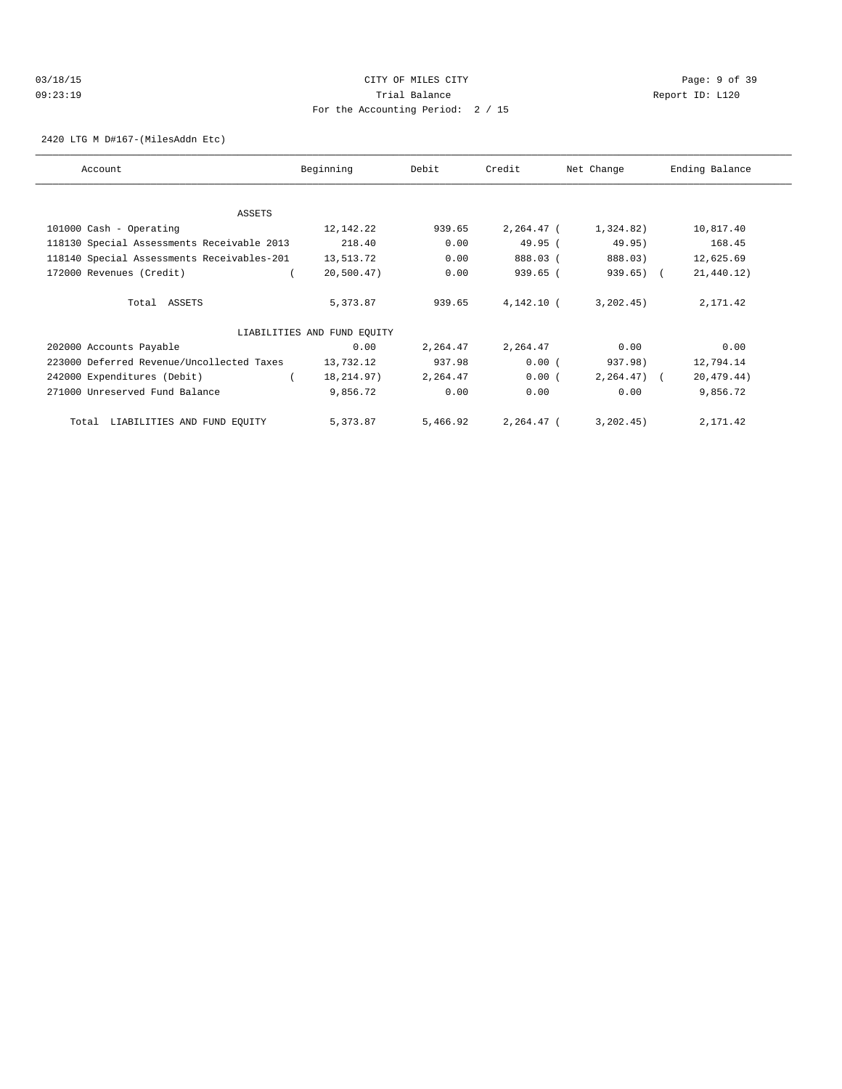# 03/18/15 Page: 9 of 39 09:23:19 Trial Balance Report ID: L120 For the Accounting Period: 2 / 15

2420 LTG M D#167-(MilesAddn Etc)

| Account                                    | Beginning                   | Debit    | Credit       | Net Change     | Ending Balance |
|--------------------------------------------|-----------------------------|----------|--------------|----------------|----------------|
|                                            |                             |          |              |                |                |
| ASSETS                                     |                             |          |              |                |                |
| 101000 Cash - Operating                    | 12,142.22                   | 939.65   | $2,264.47$ ( | 1,324.82)      | 10,817.40      |
| 118130 Special Assessments Receivable 2013 | 218.40                      | 0.00     | 49.95(       | 49.95)         | 168.45         |
| 118140 Special Assessments Receivables-201 | 13,513.72                   | 0.00     | 888.03 (     | 888.03)        | 12,625.69      |
| 172000 Revenues (Credit)                   | 20,500.47)                  | 0.00     | 939.65 (     | $939.65$ ) (   | 21,440.12)     |
| Total ASSETS                               | 5,373.87                    | 939.65   | 4,142.10 (   | 3, 202, 45)    | 2,171.42       |
|                                            | LIABILITIES AND FUND EQUITY |          |              |                |                |
| 202000 Accounts Payable                    | 0.00                        | 2,264.47 | 2,264.47     | 0.00           | 0.00           |
| 223000 Deferred Revenue/Uncollected Taxes  | 13,732.12                   | 937.98   | 0.00(        | 937.98)        | 12,794.14      |
| 242000 Expenditures (Debit)                | 18, 214.97)                 | 2,264.47 | 0.00(        | $2, 264, 47$ ( | 20, 479.44)    |
| 271000 Unreserved Fund Balance             | 9,856.72                    | 0.00     | 0.00         | 0.00           | 9,856.72       |
| LIABILITIES AND FUND EQUITY<br>Total       | 5,373.87                    | 5,466.92 | 2,264.47 (   | 3, 202, 45)    | 2,171.42       |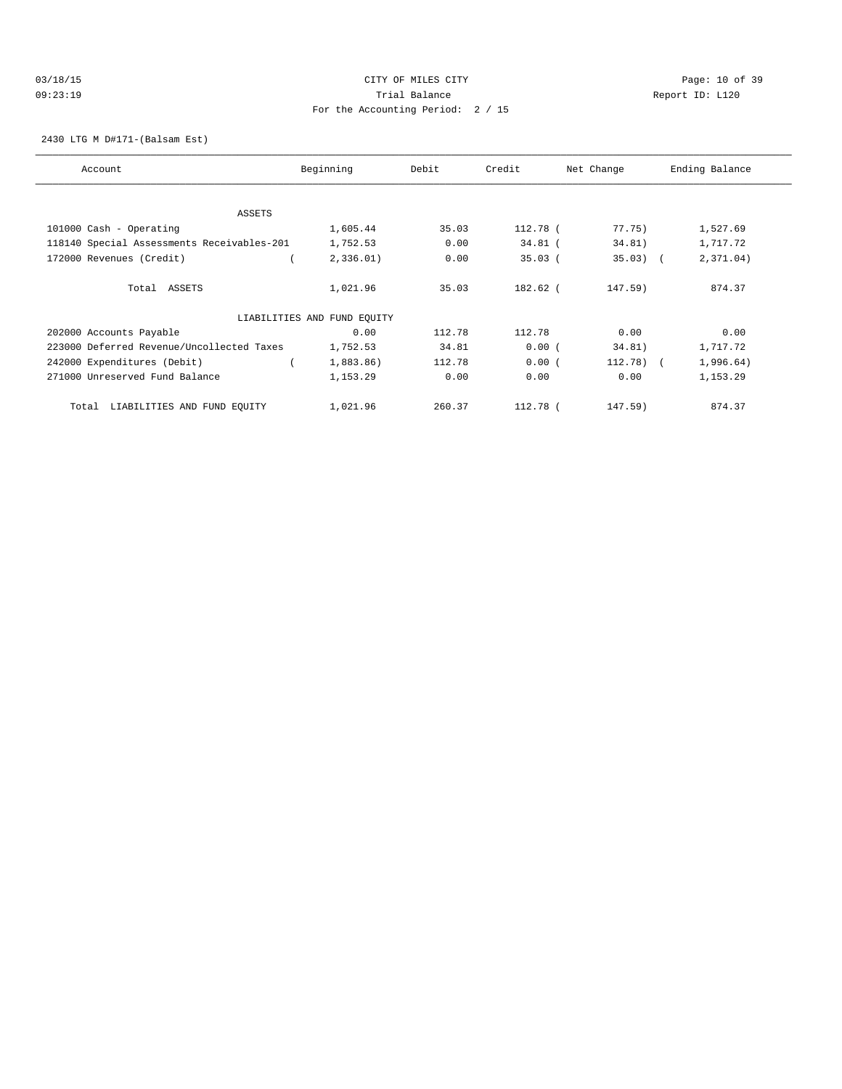# 03/18/15 Page: 10 of 39 09:23:19 Trial Balance Report ID: L120 For the Accounting Period: 2 / 15

2430 LTG M D#171-(Balsam Est)

| Account                                    | Beginning                   | Debit  | Credit    | Net Change | Ending Balance |
|--------------------------------------------|-----------------------------|--------|-----------|------------|----------------|
| <b>ASSETS</b>                              |                             |        |           |            |                |
| 101000 Cash - Operating                    | 1,605.44                    | 35.03  | 112.78 (  | 77.75)     | 1,527.69       |
|                                            |                             |        |           |            |                |
| 118140 Special Assessments Receivables-201 | 1,752.53                    | 0.00   | $34.81$ ( | 34.81)     | 1,717.72       |
| 172000 Revenues (Credit)                   | 2,336.01)                   | 0.00   | $35.03$ ( | $35.03)$ ( | 2,371.04)      |
| Total ASSETS                               | 1,021.96                    | 35.03  | 182.62 (  | 147.59)    | 874.37         |
|                                            | LIABILITIES AND FUND EQUITY |        |           |            |                |
| 202000 Accounts Payable                    | 0.00                        | 112.78 | 112.78    | 0.00       | 0.00           |
| 223000 Deferred Revenue/Uncollected Taxes  | 1,752.53                    | 34.81  | 0.00(     | 34.81)     | 1,717.72       |
| 242000 Expenditures (Debit)                | 1,883.86)                   | 112.78 | 0.00(     | $112.78$ ( | 1,996.64)      |
| 271000 Unreserved Fund Balance             | 1,153.29                    | 0.00   | 0.00      | 0.00       | 1,153.29       |
| LIABILITIES AND FUND EQUITY<br>Total       | 1,021.96                    | 260.37 | 112.78 (  | 147.59)    | 874.37         |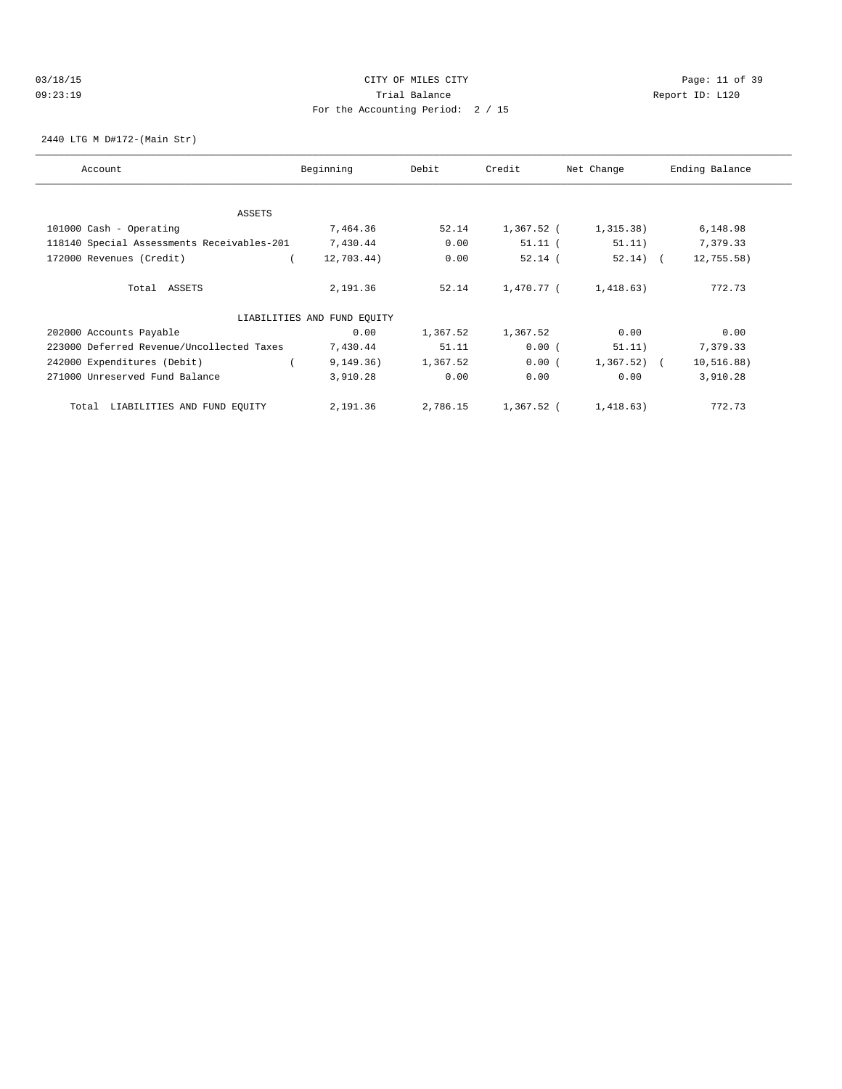### 03/18/15 Page: 11 of 39 09:23:19 Trial Balance Report ID: L120 For the Accounting Period: 2 / 15

2440 LTG M D#172-(Main Str)

| Account                                    | Beginning                   | Debit    | Credit     | Net Change   | Ending Balance |
|--------------------------------------------|-----------------------------|----------|------------|--------------|----------------|
|                                            |                             |          |            |              |                |
| ASSETS                                     |                             |          |            |              |                |
| 101000 Cash - Operating                    | 7,464.36                    | 52.14    | 1,367.52 ( | 1,315.38)    | 6,148.98       |
| 118140 Special Assessments Receivables-201 | 7,430.44                    | 0.00     | $51.11$ (  | 51.11)       | 7,379.33       |
| 172000 Revenues (Credit)                   | 12,703.44)                  | 0.00     | $52.14$ (  | $52.14)$ (   | $12,755.58$ )  |
| Total ASSETS                               | 2,191.36                    | 52.14    | 1,470.77 ( | 1,418.63)    | 772.73         |
|                                            | LIABILITIES AND FUND EQUITY |          |            |              |                |
| 202000 Accounts Payable                    | 0.00                        | 1,367.52 | 1,367.52   | 0.00         | 0.00           |
| 223000 Deferred Revenue/Uncollected Taxes  | 7,430.44                    | 51.11    | 0.00(      | 51.11)       | 7,379.33       |
| 242000 Expenditures (Debit)                | 9, 149.36)                  | 1,367.52 | 0.00(      | $1,367.52$ ( | 10, 516.88)    |
| 271000 Unreserved Fund Balance             | 3,910.28                    | 0.00     | 0.00       | 0.00         | 3,910.28       |
| LIABILITIES AND FUND EQUITY<br>Total       | 2,191.36                    | 2,786.15 | 1,367.52 ( | 1,418.63)    | 772.73         |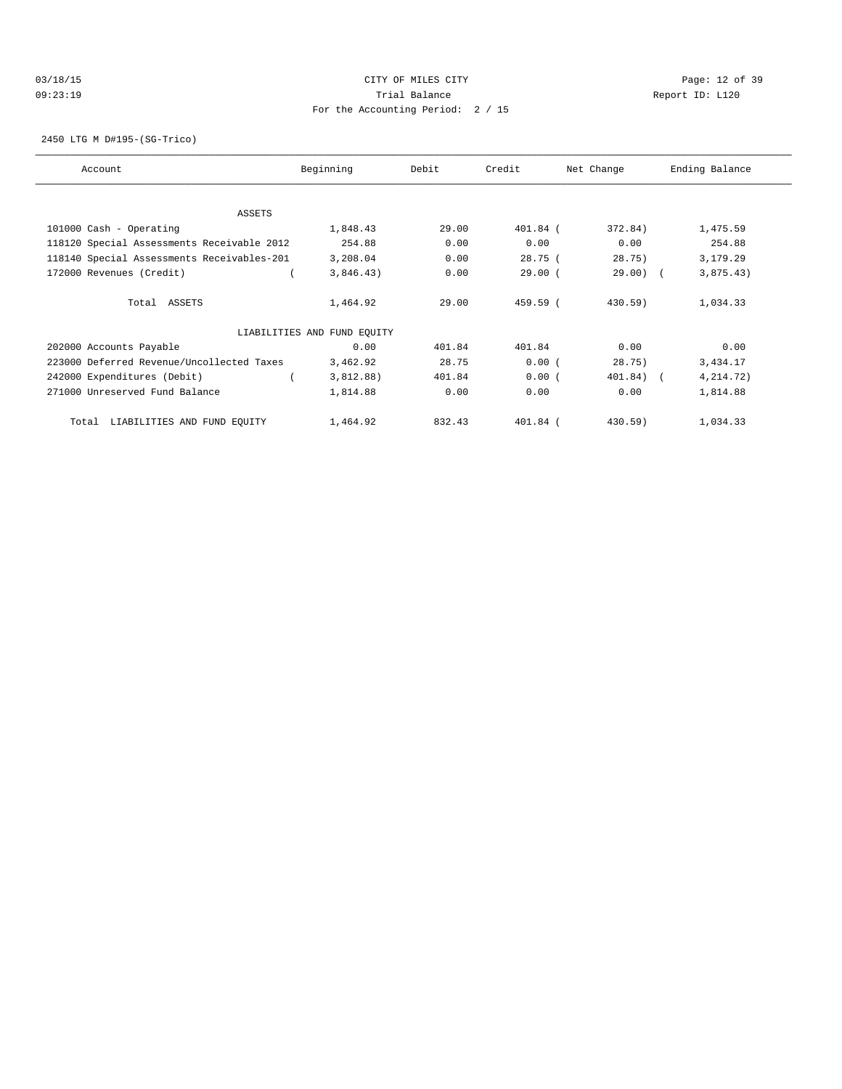# 03/18/15 Page: 12 of 39 09:23:19 Trial Balance Report ID: L120 For the Accounting Period: 2 / 15

2450 LTG M D#195-(SG-Trico)

| Account                                    | Beginning                   | Debit  | Credit     | Net Change | Ending Balance |
|--------------------------------------------|-----------------------------|--------|------------|------------|----------------|
|                                            |                             |        |            |            |                |
| ASSETS                                     |                             |        |            |            |                |
| 101000 Cash - Operating                    | 1,848.43                    | 29.00  | 401.84 (   | 372.84)    | 1,475.59       |
| 118120 Special Assessments Receivable 2012 | 254.88                      | 0.00   | 0.00       | 0.00       | 254.88         |
| 118140 Special Assessments Receivables-201 | 3,208.04                    | 0.00   | 28.75(     | 28.75)     | 3,179.29       |
| 172000 Revenues (Credit)                   | 3,846.43)                   | 0.00   | $29.00$ (  | $29.00)$ ( | 3,875.43)      |
| Total ASSETS                               | 1,464.92                    | 29.00  | 459.59 (   | $430.59$ ) | 1,034.33       |
|                                            | LIABILITIES AND FUND EQUITY |        |            |            |                |
| 202000 Accounts Payable                    | 0.00                        | 401.84 | 401.84     | 0.00       | 0.00           |
| 223000 Deferred Revenue/Uncollected Taxes  | 3,462.92                    | 28.75  | 0.00(      | 28.75)     | 3,434.17       |
| 242000 Expenditures (Debit)                | 3,812.88)                   | 401.84 | 0.00(      | 401.84)    | 4,214.72)      |
| 271000 Unreserved Fund Balance             | 1,814.88                    | 0.00   | 0.00       | 0.00       | 1,814.88       |
| LIABILITIES AND FUND EQUITY<br>Total       | 1,464.92                    | 832.43 | $401.84$ ( | 430.59)    | 1,034.33       |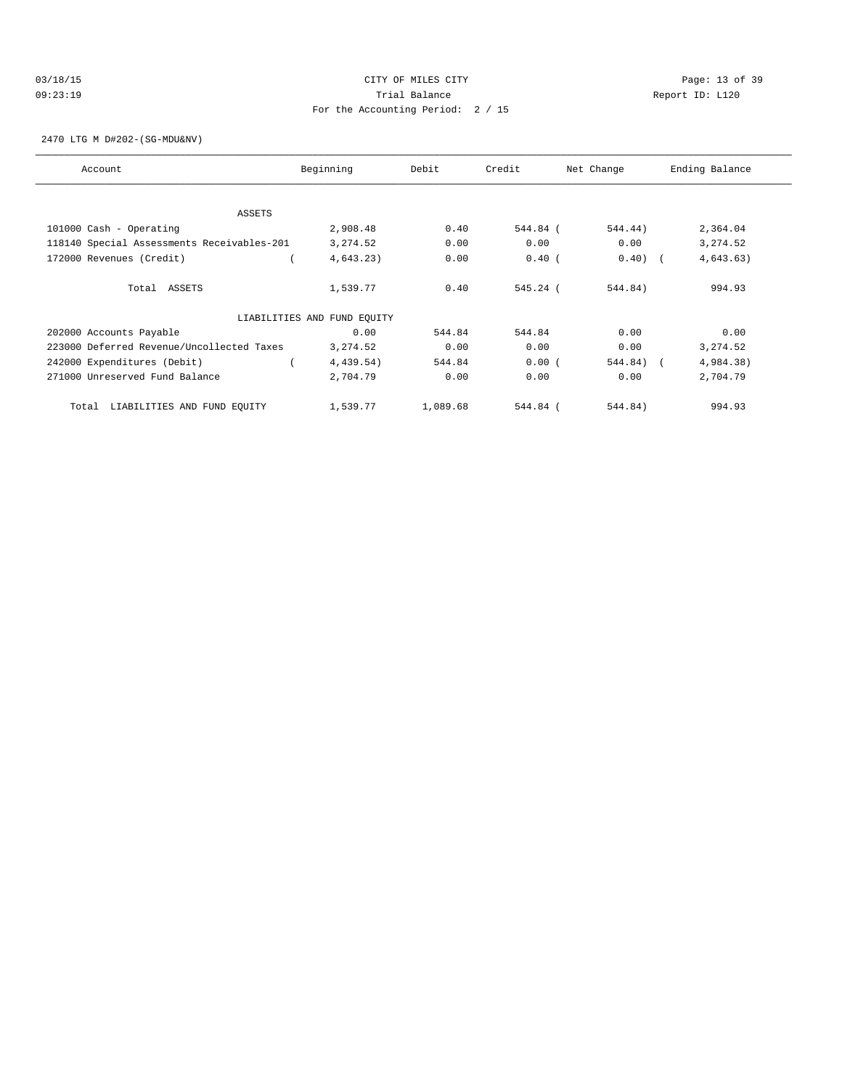# 03/18/15 Page: 13 of 39 09:23:19 Trial Balance Report ID: L120 For the Accounting Period: 2 / 15

2470 LTG M D#202-(SG-MDU&NV)

| Account                                    | Beginning                   | Debit    | Credit     | Net Change | Ending Balance |
|--------------------------------------------|-----------------------------|----------|------------|------------|----------------|
| <b>ASSETS</b>                              |                             |          |            |            |                |
| 101000 Cash - Operating                    | 2,908.48                    | 0.40     | 544.84 (   | 544.44)    | 2,364.04       |
| 118140 Special Assessments Receivables-201 | 3, 274.52                   | 0.00     | 0.00       | 0.00       | 3, 274.52      |
| 172000 Revenues (Credit)                   | 4,643.23)                   | 0.00     | $0.40$ (   | $0.40)$ (  | 4,643.63)      |
| Total ASSETS                               | 1,539.77                    | 0.40     | $545.24$ ( | 544.84)    | 994.93         |
|                                            | LIABILITIES AND FUND EQUITY |          |            |            |                |
| 202000 Accounts Payable                    | 0.00                        | 544.84   | 544.84     | 0.00       | 0.00           |
| 223000 Deferred Revenue/Uncollected Taxes  | 3,274.52                    | 0.00     | 0.00       | 0.00       | 3, 274.52      |
| 242000 Expenditures (Debit)                | 4,439.54)                   | 544.84   | 0.00(      | 544.84) (  | 4,984.38)      |
| 271000 Unreserved Fund Balance             | 2,704.79                    | 0.00     | 0.00       | 0.00       | 2,704.79       |
| LIABILITIES AND FUND EQUITY<br>Total       | 1,539.77                    | 1,089.68 | 544.84 (   | 544.84)    | 994.93         |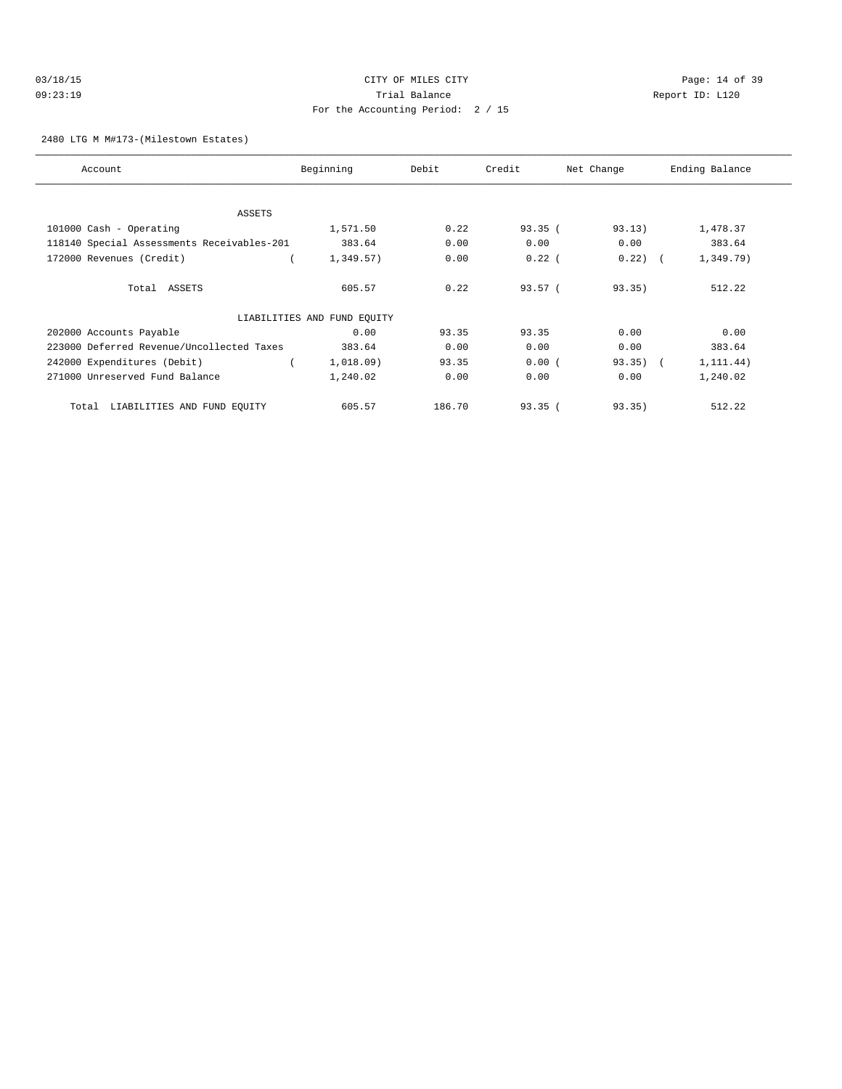# 03/18/15 Page: 14 of 39 09:23:19 Trial Balance Report ID: L120 For the Accounting Period: 2 / 15

### 2480 LTG M M#173-(Milestown Estates)

| Account                                    | Beginning                   | Debit  | Credit   | Net Change | Ending Balance |
|--------------------------------------------|-----------------------------|--------|----------|------------|----------------|
|                                            |                             |        |          |            |                |
| <b>ASSETS</b>                              |                             |        |          |            |                |
| 101000 Cash - Operating                    | 1,571.50                    | 0.22   | 93.35(   | 93.13)     | 1,478.37       |
| 118140 Special Assessments Receivables-201 | 383.64                      | 0.00   | 0.00     | 0.00       | 383.64         |
| 172000 Revenues (Credit)                   | 1,349.57)                   | 0.00   | $0.22$ ( | $0.22)$ (  | 1,349.79)      |
| Total ASSETS                               | 605.57                      | 0.22   | 93.57(   | 93.35)     | 512.22         |
|                                            | LIABILITIES AND FUND EQUITY |        |          |            |                |
| 202000 Accounts Payable                    | 0.00                        | 93.35  | 93.35    | 0.00       | 0.00           |
| 223000 Deferred Revenue/Uncollected Taxes  | 383.64                      | 0.00   | 0.00     | 0.00       | 383.64         |
| 242000 Expenditures (Debit)                | 1,018.09)                   | 93.35  | 0.00(    | $93.35)$ ( | 1, 111.44)     |
| 271000 Unreserved Fund Balance             | 1,240.02                    | 0.00   | 0.00     | 0.00       | 1,240.02       |
| LIABILITIES AND FUND EQUITY<br>Total       | 605.57                      | 186.70 | 93.35(   | 93.35)     | 512.22         |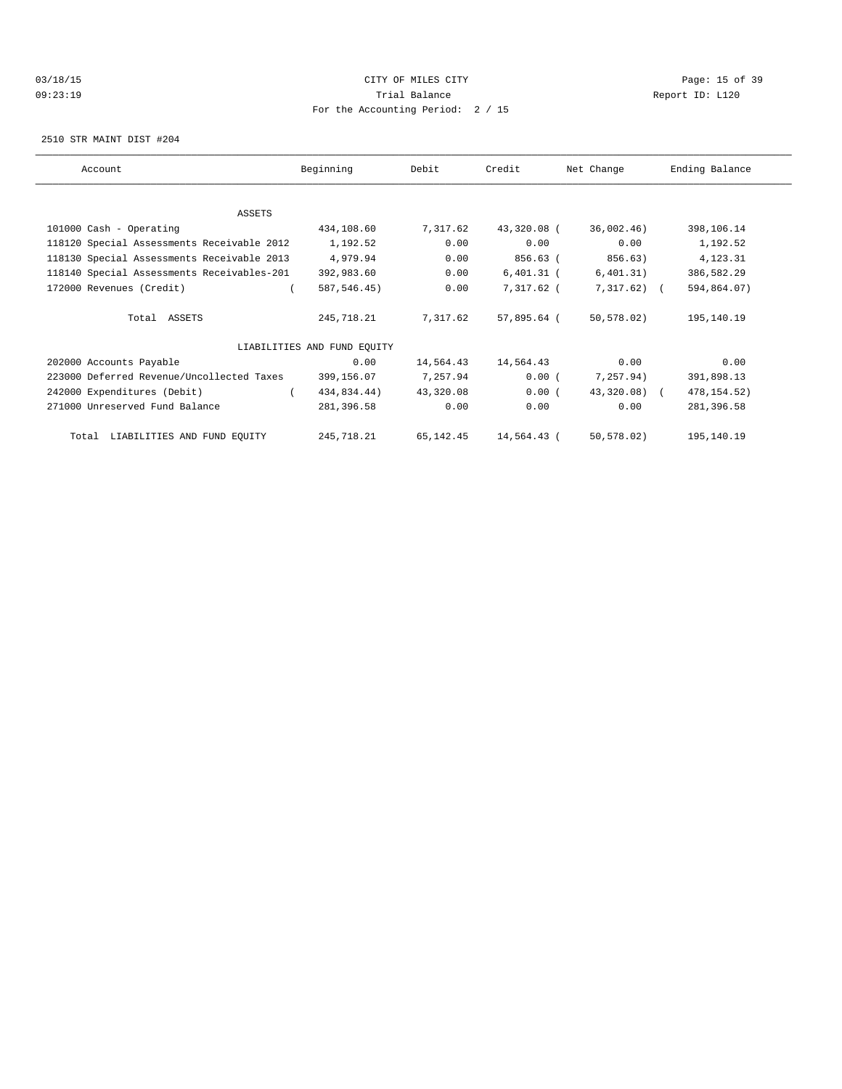# 03/18/15 Page: 15 of 39 09:23:19 Trial Balance Report ID: L120 For the Accounting Period: 2 / 15

2510 STR MAINT DIST #204

| Account                                    | Beginning                   | Debit     | Credit       | Net Change     | Ending Balance |
|--------------------------------------------|-----------------------------|-----------|--------------|----------------|----------------|
|                                            |                             |           |              |                |                |
| ASSETS                                     |                             |           |              |                |                |
| 101000 Cash - Operating                    | 434,108.60                  | 7,317.62  | 43,320.08 (  | 36,002.46)     | 398,106.14     |
| 118120 Special Assessments Receivable 2012 | 1,192.52                    | 0.00      | 0.00         | 0.00           | 1,192.52       |
| 118130 Special Assessments Receivable 2013 | 4,979.94                    | 0.00      | 856.63 (     | 856.63)        | 4,123.31       |
| 118140 Special Assessments Receivables-201 | 392,983.60                  | 0.00      | $6,401.31$ ( | 6,401.31)      | 386,582.29     |
| 172000 Revenues (Credit)                   | 587, 546.45)                | 0.00      | 7,317.62 (   | $7,317.62$ ) ( | 594,864.07)    |
| Total ASSETS                               | 245,718.21                  | 7,317.62  | 57,895.64 (  | 50,578.02)     | 195,140.19     |
|                                            | LIABILITIES AND FUND EQUITY |           |              |                |                |
| 202000 Accounts Payable                    | 0.00                        | 14,564.43 | 14,564.43    | 0.00           | 0.00           |
| 223000 Deferred Revenue/Uncollected Taxes  | 399,156.07                  | 7,257.94  | 0.00(        | 7,257.94)      | 391,898.13     |
| 242000 Expenditures (Debit)                | 434,834.44)                 | 43,320.08 | 0.00(        | 43,320.08) (   | 478, 154.52)   |
| 271000 Unreserved Fund Balance             | 281,396.58                  | 0.00      | 0.00         | 0.00           | 281,396.58     |
| Total LIABILITIES AND FUND EQUITY          | 245,718.21                  | 65,142.45 | 14,564.43 (  | 50, 578.02     | 195,140.19     |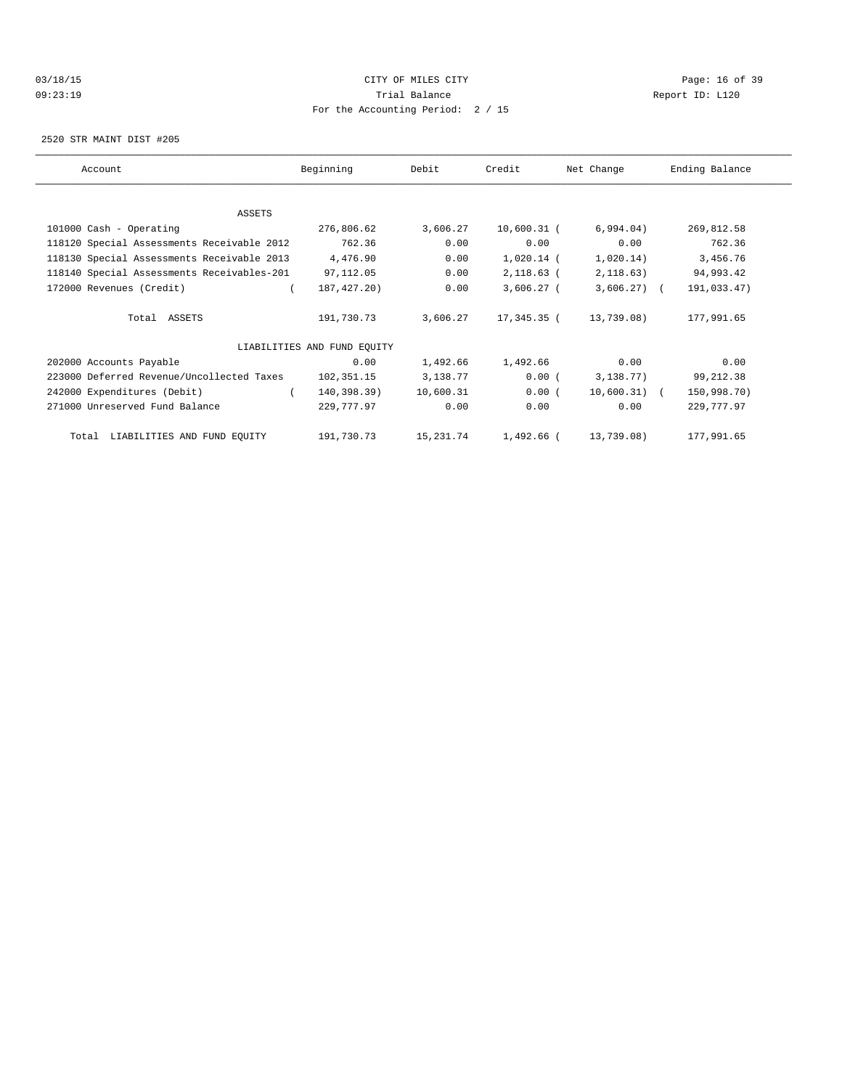# 03/18/15 Page: 16 of 39 09:23:19 Trial Balance Report ID: L120 For the Accounting Period: 2 / 15

2520 STR MAINT DIST #205

| Account                                    | Beginning                   | Debit     | Credit        | Net Change   | Ending Balance |
|--------------------------------------------|-----------------------------|-----------|---------------|--------------|----------------|
|                                            |                             |           |               |              |                |
| ASSETS                                     |                             |           |               |              |                |
| 101000 Cash - Operating                    | 276,806.62                  | 3,606.27  | $10,600.31$ ( | 6,994.04)    | 269,812.58     |
| 118120 Special Assessments Receivable 2012 | 762.36                      | 0.00      | 0.00          | 0.00         | 762.36         |
| 118130 Special Assessments Receivable 2013 | 4,476.90                    | 0.00      | $1,020.14$ (  | 1,020.14)    | 3,456.76       |
| 118140 Special Assessments Receivables-201 | 97,112.05                   | 0.00      | 2,118.63 (    | 2,118.63)    | 94,993.42      |
| 172000 Revenues (Credit)                   | 187, 427. 20)               | 0.00      | $3,606.27$ (  | $3,606.27$ ( | 191,033.47)    |
| Total ASSETS                               | 191,730.73                  | 3,606.27  | 17,345.35 (   | 13,739.08)   | 177,991.65     |
|                                            | LIABILITIES AND FUND EQUITY |           |               |              |                |
| 202000 Accounts Payable                    | 0.00                        | 1,492.66  | 1,492.66      | 0.00         | 0.00           |
| 223000 Deferred Revenue/Uncollected Taxes  | 102,351.15                  | 3,138.77  | 0.00(         | 3,138.77)    | 99, 212.38     |
| 242000 Expenditures (Debit)                | 140,398.39)                 | 10,600.31 | 0.00(         | 10,600.31) ( | 150,998.70)    |
| 271000 Unreserved Fund Balance             | 229,777.97                  | 0.00      | 0.00          | 0.00         | 229,777.97     |
| Total LIABILITIES AND FUND EQUITY          | 191,730.73                  | 15,231.74 | 1,492.66 (    | 13,739.08)   | 177,991.65     |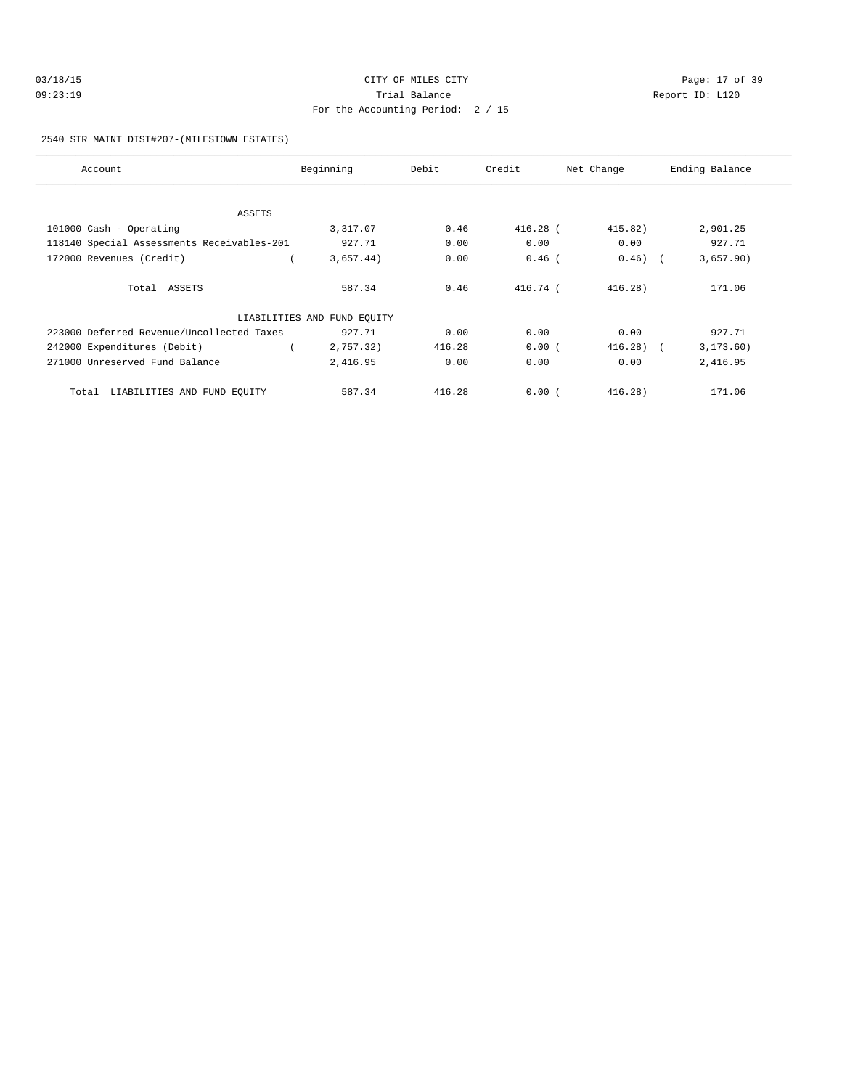| 03/18/15 | CITY OF MILES CITY                | Page: 17 of 39  |
|----------|-----------------------------------|-----------------|
| 09:23:19 | Trial Balance                     | Report ID: L120 |
|          | For the Accounting Period: 2 / 15 |                 |

2540 STR MAINT DIST#207-(MILESTOWN ESTATES)

| Account                                    | Beginning                   | Debit  | Credit     | Net Change | Ending Balance |
|--------------------------------------------|-----------------------------|--------|------------|------------|----------------|
|                                            |                             |        |            |            |                |
| ASSETS                                     |                             |        |            |            |                |
| 101000 Cash - Operating                    | 3,317.07                    | 0.46   | $416.28$ ( | 415.82)    | 2,901.25       |
| 118140 Special Assessments Receivables-201 | 927.71                      | 0.00   | 0.00       | 0.00       | 927.71         |
| 172000 Revenues (Credit)                   | 3,657.44)                   | 0.00   | $0.46$ (   | $0.46)$ (  | 3,657.90)      |
| Total ASSETS                               | 587.34                      | 0.46   | 416.74 (   | 416.28     | 171.06         |
|                                            | LIABILITIES AND FUND EQUITY |        |            |            |                |
| 223000 Deferred Revenue/Uncollected Taxes  | 927.71                      | 0.00   | 0.00       | 0.00       | 927.71         |
| 242000 Expenditures (Debit)                | 2,757.32)                   | 416.28 | 0.00(      | $416.28$ ( | 3, 173.60)     |
| 271000 Unreserved Fund Balance             | 2,416.95                    | 0.00   | 0.00       | 0.00       | 2,416.95       |
| LIABILITIES AND FUND EQUITY<br>Total       | 587.34                      | 416.28 | 0.00(      | 416.28     | 171.06         |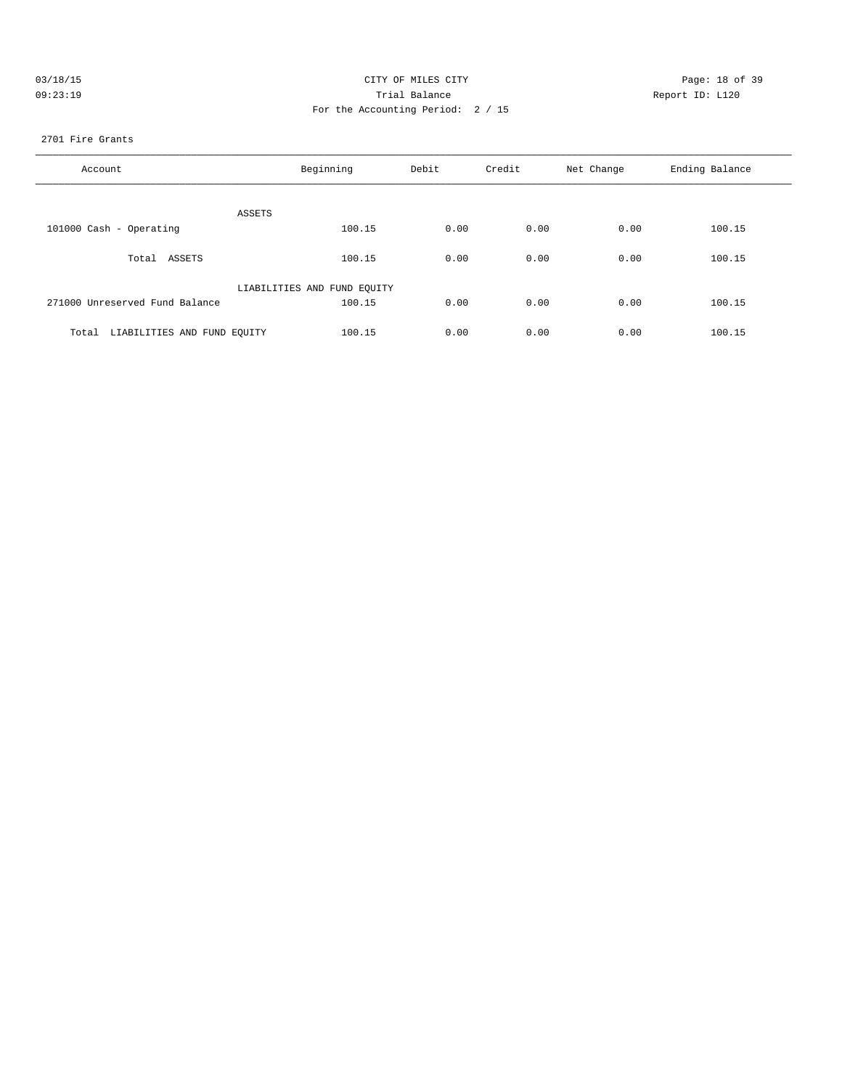| 03/18/15 | CITY OF MILES CITY                | Page: 18 of 39  |
|----------|-----------------------------------|-----------------|
| 09:23:19 | Trial Balance                     | Report ID: L120 |
|          | For the Accounting Period: 2 / 15 |                 |
|          |                                   |                 |

### 2701 Fire Grants

| Account                              | Beginning                   | Debit | Credit | Net Change | Ending Balance |
|--------------------------------------|-----------------------------|-------|--------|------------|----------------|
| ASSETS                               |                             |       |        |            |                |
| 101000 Cash - Operating              | 100.15                      | 0.00  | 0.00   | 0.00       | 100.15         |
| Total ASSETS                         | 100.15                      | 0.00  | 0.00   | 0.00       | 100.15         |
|                                      | LIABILITIES AND FUND EQUITY |       |        |            |                |
| 271000 Unreserved Fund Balance       | 100.15                      | 0.00  | 0.00   | 0.00       | 100.15         |
| LIABILITIES AND FUND EQUITY<br>Total | 100.15                      | 0.00  | 0.00   | 0.00       | 100.15         |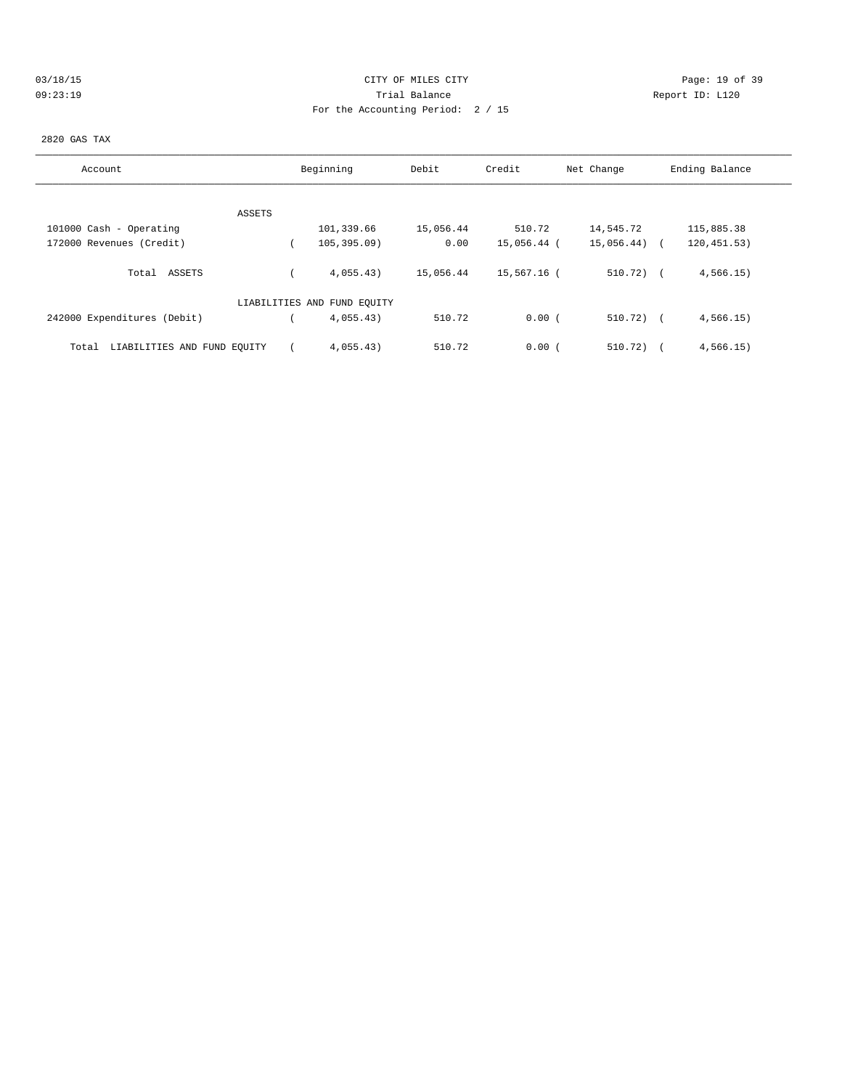# 03/18/15 Page: 19 of 39 09:23:19 Trial Balance Report ID: L120 For the Accounting Period: 2 / 15

#### 2820 GAS TAX

| Account                              | Beginning                   | Debit     | Credit      | Net Change   | Ending Balance |
|--------------------------------------|-----------------------------|-----------|-------------|--------------|----------------|
|                                      |                             |           |             |              |                |
| ASSETS                               |                             |           |             |              |                |
| 101000 Cash - Operating              | 101,339.66                  | 15,056.44 | 510.72      | 14,545.72    | 115,885.38     |
| 172000 Revenues (Credit)             | 105, 395.09                 | 0.00      | 15,056.44 ( | 15,056.44)   | 120, 451.53)   |
| ASSETS<br>Total                      | 4,055.43)                   | 15,056.44 | 15,567.16 ( | $510.72)$ (  | 4,566.15)      |
|                                      | LIABILITIES AND FUND EQUITY |           |             |              |                |
| 242000 Expenditures (Debit)          | 4,055.43)                   | 510.72    | 0.00(       | $510.72$ ) ( | 4,566.15)      |
| LIABILITIES AND FUND EQUITY<br>Total | 4,055.43)                   | 510.72    | 0.00(       | 510.72)      | 4,566.15)      |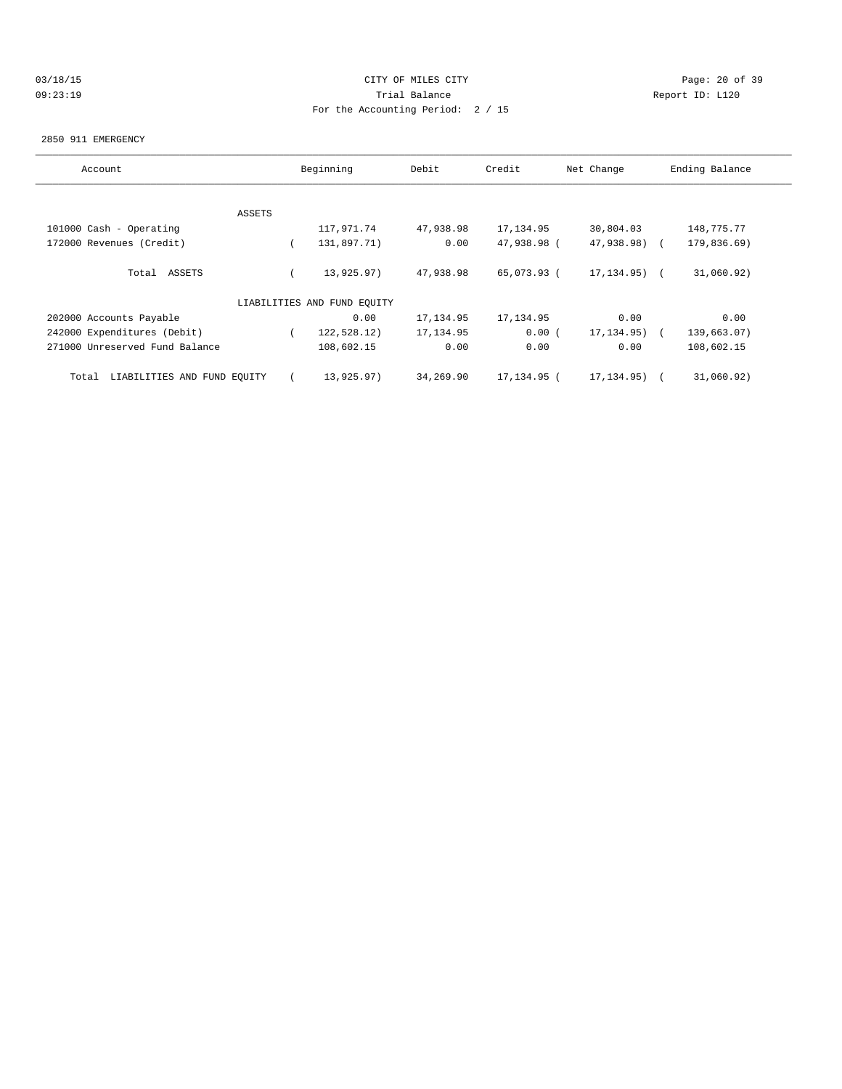# 03/18/15 Page: 20 of 39 09:23:19 Trial Balance Report ID: L120 For the Accounting Period: 2 / 15

#### 2850 911 EMERGENCY

| Account                              |        | Beginning                   | Debit     | Credit      | Net Change       | Ending Balance |
|--------------------------------------|--------|-----------------------------|-----------|-------------|------------------|----------------|
|                                      |        |                             |           |             |                  |                |
|                                      | ASSETS |                             |           |             |                  |                |
| 101000 Cash - Operating              |        | 117,971.74                  | 47,938.98 | 17, 134.95  | 30,804.03        | 148,775.77     |
| 172000 Revenues (Credit)             |        | 131,897.71)                 | 0.00      | 47,938.98 ( | 47,938.98) (     | 179,836.69)    |
| Total ASSETS                         |        | 13,925.97)                  | 47,938.98 | 65,073.93 ( | $17, 134, 95)$ ( | 31,060.92)     |
|                                      |        | LIABILITIES AND FUND EQUITY |           |             |                  |                |
| 202000 Accounts Payable              |        | 0.00                        | 17,134.95 | 17, 134.95  | 0.00             | 0.00           |
| 242000 Expenditures (Debit)          |        | 122,528.12)                 | 17,134.95 | 0.00(       | 17, 134.95) (    | 139,663.07)    |
| 271000 Unreserved Fund Balance       |        | 108,602.15                  | 0.00      | 0.00        | 0.00             | 108,602.15     |
| LIABILITIES AND FUND EOUITY<br>Total |        | 13,925.97)                  | 34,269.90 | 17,134.95 ( | 17, 134, 95)     | 31,060.92)     |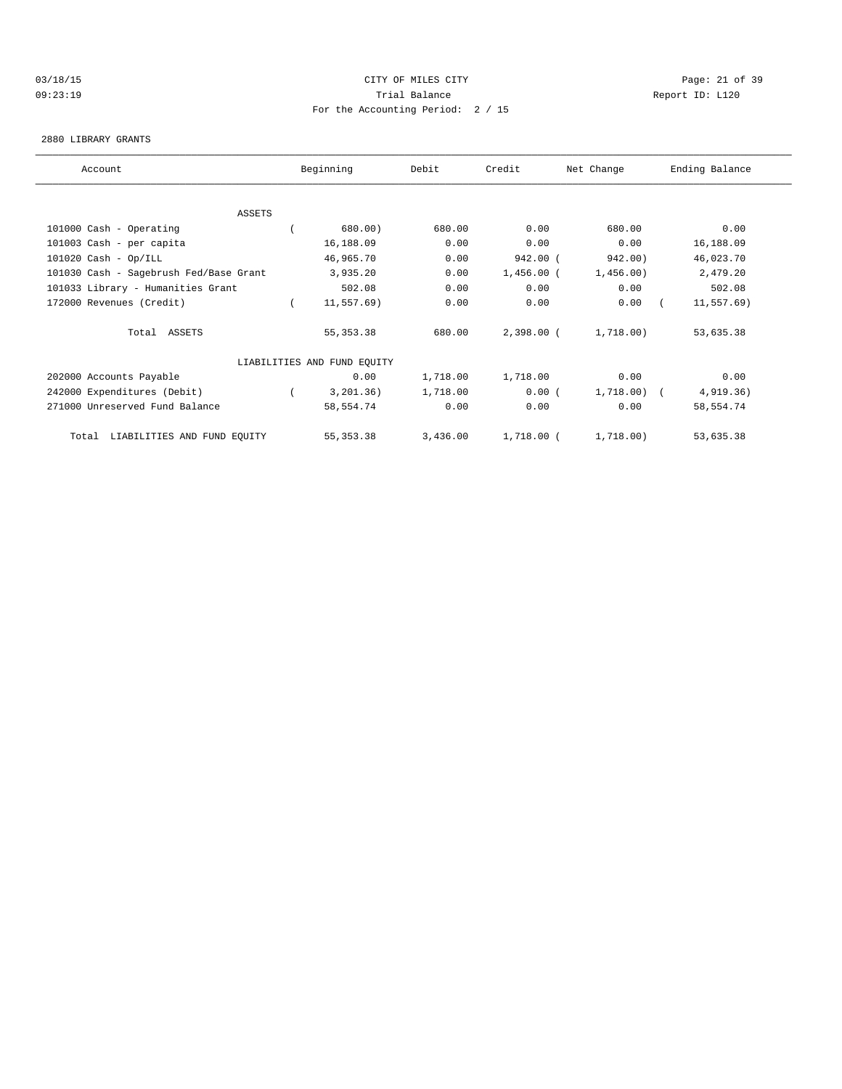### 03/18/15 Page: 21 of 39 09:23:19 Trial Balance Report ID: L120 For the Accounting Period: 2 / 15

#### 2880 LIBRARY GRANTS

| Account                                | Beginning                   | Debit    | Credit       | Net Change  | Ending Balance |  |
|----------------------------------------|-----------------------------|----------|--------------|-------------|----------------|--|
|                                        |                             |          |              |             |                |  |
| <b>ASSETS</b>                          |                             |          |              |             |                |  |
| 101000 Cash - Operating                | 680.00)                     | 680.00   | 0.00         | 680.00      | 0.00           |  |
| 101003 Cash - per capita               | 16,188.09                   | 0.00     | 0.00         | 0.00        | 16,188.09      |  |
| $101020$ Cash - Op/ILL                 | 46,965.70                   | 0.00     | $942.00$ (   | 942.00)     | 46,023.70      |  |
| 101030 Cash - Sagebrush Fed/Base Grant | 3,935.20                    | 0.00     | $1,456.00$ ( | 1,456.00)   | 2,479.20       |  |
| 101033 Library - Humanities Grant      | 502.08                      | 0.00     | 0.00         | 0.00        | 502.08         |  |
| 172000 Revenues (Credit)               | 11,557.69)                  | 0.00     | 0.00         | 0.00        | $11, 557.69$ ) |  |
| Total ASSETS                           | 55, 353. 38                 | 680.00   | 2,398.00 (   | 1,718.00)   | 53,635.38      |  |
|                                        | LIABILITIES AND FUND EQUITY |          |              |             |                |  |
| 202000 Accounts Payable                | 0.00                        | 1,718.00 | 1,718.00     | 0.00        | 0.00           |  |
| 242000 Expenditures (Debit)            | 3,201.36)                   | 1,718.00 | 0.00(        | 1,718.00) ( | 4,919.36)      |  |
| 271000 Unreserved Fund Balance         | 58,554.74                   | 0.00     | 0.00         | 0.00        | 58,554.74      |  |
| LIABILITIES AND FUND EQUITY<br>Total   | 55, 353.38                  | 3,436.00 | 1,718.00 (   | 1,718.00)   | 53,635.38      |  |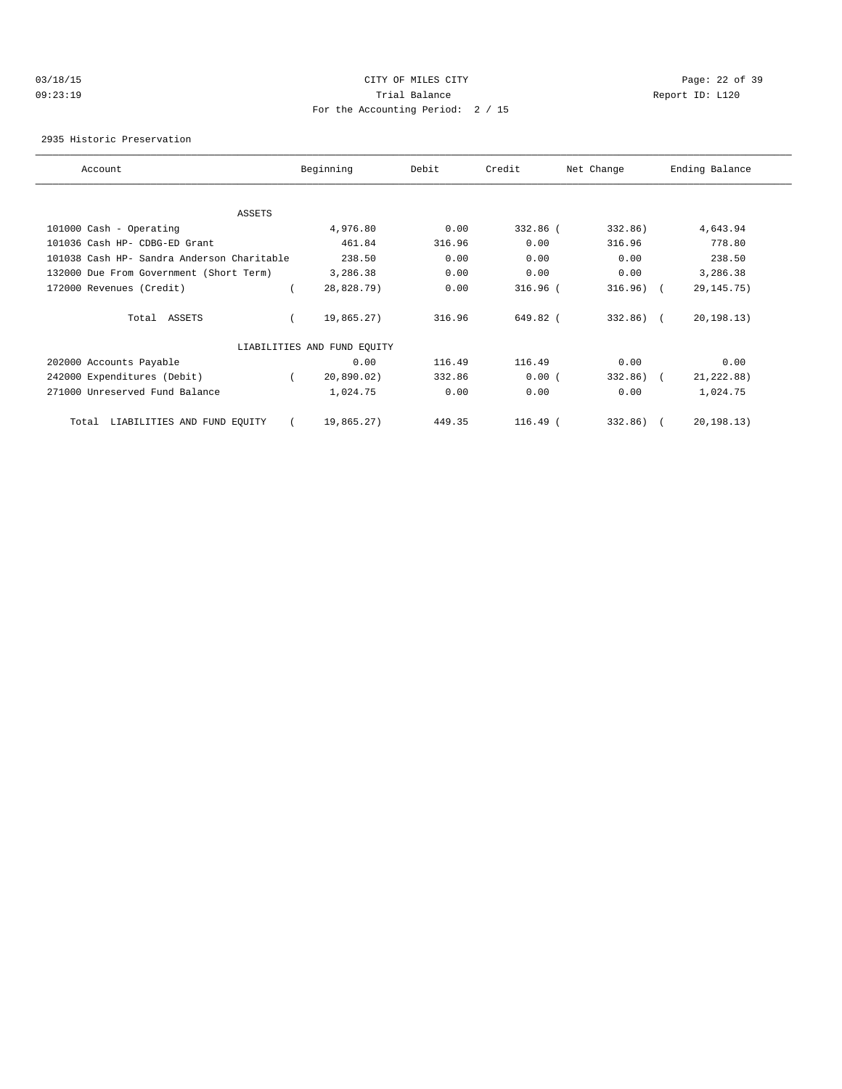# 03/18/15 Page: 22 of 39 09:23:19 Trial Balance Report ID: L120 For the Accounting Period: 2 / 15

2935 Historic Preservation

| Account                                    | Beginning                   | Debit  | Credit     | Net Change   | Ending Balance |
|--------------------------------------------|-----------------------------|--------|------------|--------------|----------------|
|                                            |                             |        |            |              |                |
| ASSETS                                     |                             |        |            |              |                |
| 101000 Cash - Operating                    | 4,976.80                    | 0.00   | 332.86 (   | 332.86)      | 4,643.94       |
| 101036 Cash HP- CDBG-ED Grant              | 461.84                      | 316.96 | 0.00       | 316.96       | 778.80         |
| 101038 Cash HP- Sandra Anderson Charitable | 238.50                      | 0.00   | 0.00       | 0.00         | 238.50         |
| 132000 Due From Government (Short Term)    | 3,286.38                    | 0.00   | 0.00       | 0.00         | 3,286.38       |
| 172000 Revenues (Credit)                   | 28,828.79)                  | 0.00   | $316.96$ ( | 316.96)      | 29, 145. 75)   |
| Total ASSETS                               | 19,865.27)                  | 316.96 | 649.82 (   | $332.86$ ) ( | 20, 198.13)    |
|                                            | LIABILITIES AND FUND EQUITY |        |            |              |                |
| 202000 Accounts Payable                    | 0.00                        | 116.49 | 116.49     | 0.00         | 0.00           |
| 242000 Expenditures (Debit)                | 20,890.02)                  | 332.86 | 0.00(      | 332.86)      | 21, 222.88)    |
| 271000 Unreserved Fund Balance             | 1,024.75                    | 0.00   | 0.00       | 0.00         | 1,024.75       |
| LIABILITIES AND FUND EQUITY<br>Total       | 19,865.27)                  | 449.35 | 116.49 (   | 332.86)      | 20, 198.13)    |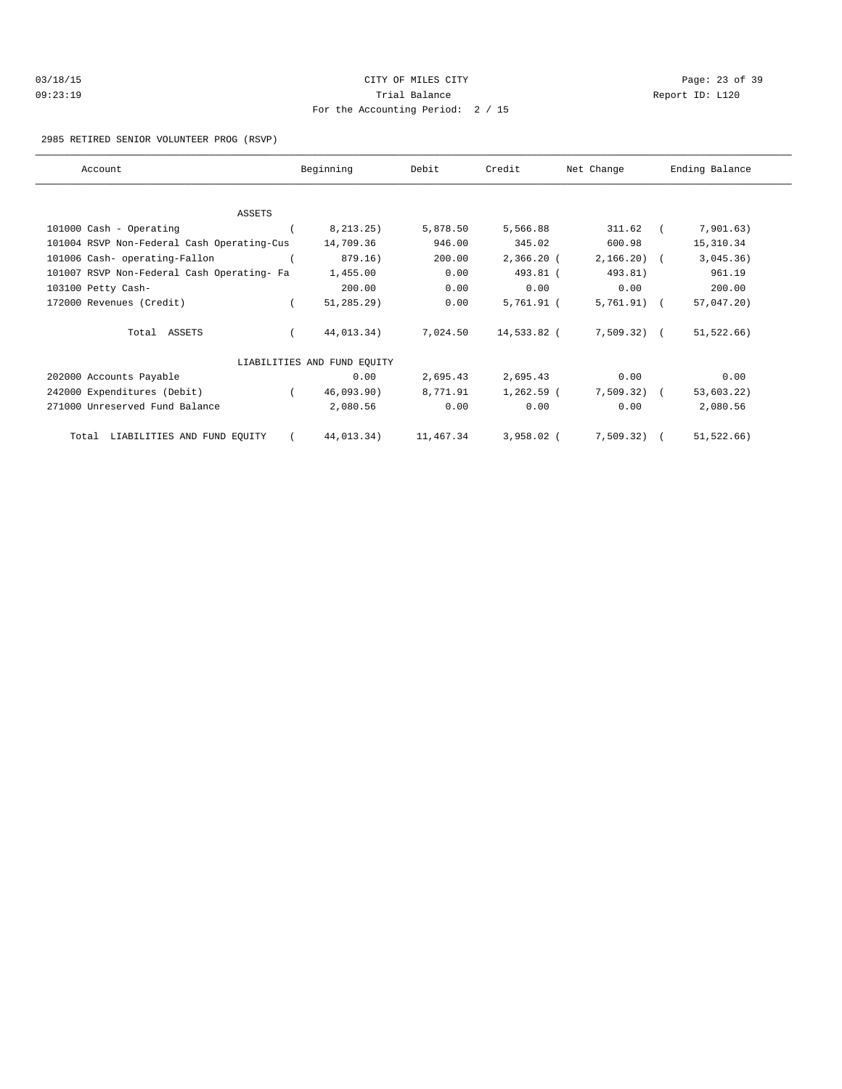| 03/18/15 | CITY OF MILES CITY                | Page: 23 of 39  |
|----------|-----------------------------------|-----------------|
| 09:23:19 | Trial Balance                     | Report ID: L120 |
|          | For the Accounting Period: 2 / 15 |                 |

2985 RETIRED SENIOR VOLUNTEER PROG (RSVP)

| Account                                    |          | Beginning                   | Debit     | Credit       | Net Change    | Ending Balance |  |
|--------------------------------------------|----------|-----------------------------|-----------|--------------|---------------|----------------|--|
|                                            |          |                             |           |              |               |                |  |
| ASSETS                                     |          |                             |           |              |               |                |  |
| 101000 Cash - Operating                    |          | 8, 213, 25)                 | 5,878.50  | 5,566.88     | 311.62        | 7,901.63)      |  |
| 101004 RSVP Non-Federal Cash Operating-Cus |          | 14,709.36                   | 946.00    | 345.02       | 600.98        | 15,310.34      |  |
| 101006 Cash- operating-Fallon              |          | 879.16)                     | 200.00    | 2,366.20 (   | $2,166.20$ (  | 3,045.36)      |  |
| 101007 RSVP Non-Federal Cash Operating- Fa |          | 1,455.00                    | 0.00      | 493.81 (     | 493.81)       | 961.19         |  |
| 103100 Petty Cash-                         |          | 200.00                      | 0.00      | 0.00         | 0.00          | 200.00         |  |
| 172000 Revenues (Credit)                   |          | $51, 285.29$ )              | 0.00      | 5,761.91 (   | $5,761.91)$ ( | $57,047.20$ )  |  |
| Total ASSETS                               |          | 44,013.34)                  | 7,024.50  | 14,533.82 (  | 7,509.32) (   | 51, 522.66)    |  |
|                                            |          | LIABILITIES AND FUND EQUITY |           |              |               |                |  |
| 202000 Accounts Payable                    |          | 0.00                        | 2,695.43  | 2,695.43     | 0.00          | 0.00           |  |
| 242000 Expenditures (Debit)                | $\left($ | 46,093.90)                  | 8,771.91  | 1,262.59 (   | $7,509.32$ (  | 53,603.22)     |  |
| 271000 Unreserved Fund Balance             |          | 2,080.56                    | 0.00      | 0.00         | 0.00          | 2,080.56       |  |
| Total LIABILITIES AND FUND EQUITY          |          | 44,013.34)                  | 11,467.34 | $3,958.02$ ( | 7,509.32)     | 51, 522.66)    |  |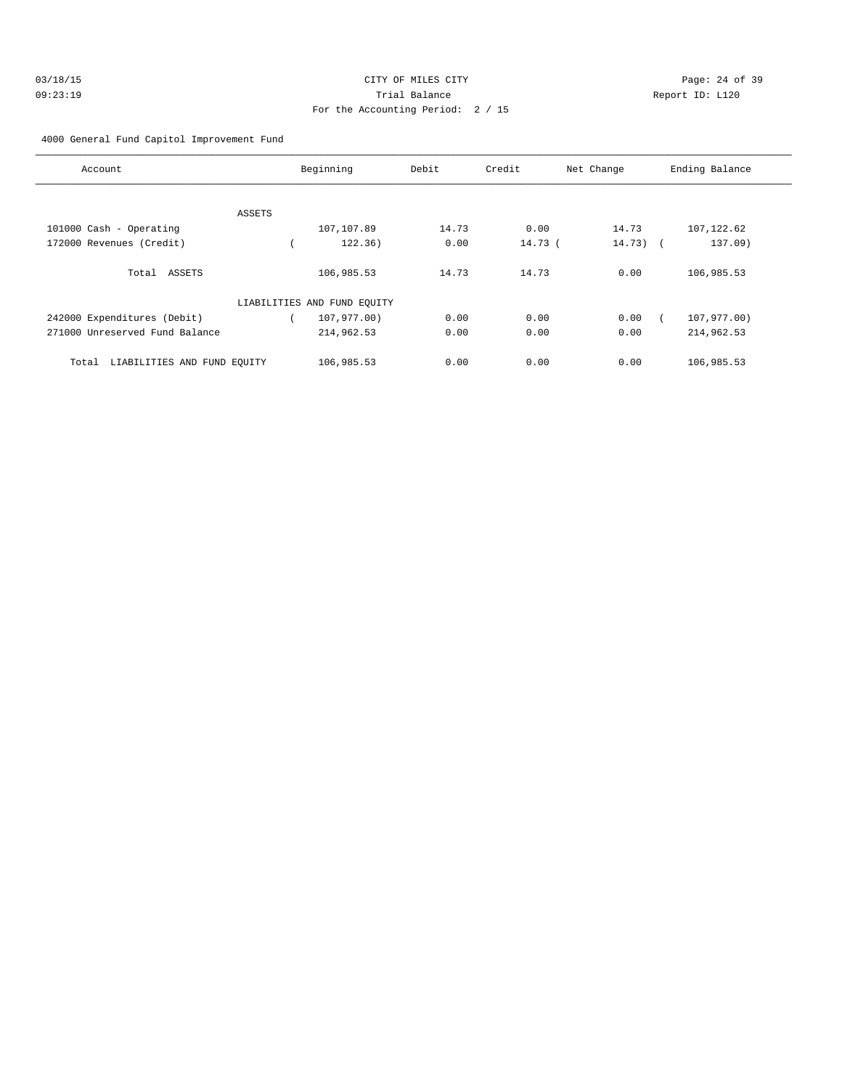| 03/18/15 | CITY OF MILES CITY                | Page: $24o$     |
|----------|-----------------------------------|-----------------|
| 09:23:19 | Trial Balance                     | Report ID: L120 |
|          | For the Accounting Period: 2 / 15 |                 |

age:  $24$  of  $39$ 

# 4000 General Fund Capitol Improvement Fund

| Account                              |        | Beginning                   | Debit | Credit   | Net Change | Ending Balance |
|--------------------------------------|--------|-----------------------------|-------|----------|------------|----------------|
|                                      |        |                             |       |          |            |                |
|                                      | ASSETS |                             |       |          |            |                |
| 101000 Cash - Operating              |        | 107,107.89                  | 14.73 | 0.00     | 14.73      | 107, 122.62    |
| 172000 Revenues (Credit)             |        | 122.36)                     | 0.00  | $14.73-$ | $14.73)$ ( | 137.09)        |
| Total ASSETS                         |        | 106,985.53                  | 14.73 | 14.73    | 0.00       | 106,985.53     |
|                                      |        | LIABILITIES AND FUND EQUITY |       |          |            |                |
| 242000 Expenditures (Debit)          |        | 107,977.00)                 | 0.00  | 0.00     | 0.00       | 107,977.00)    |
| 271000 Unreserved Fund Balance       |        | 214,962.53                  | 0.00  | 0.00     | 0.00       | 214,962.53     |
| LIABILITIES AND FUND EOUITY<br>Total |        | 106,985.53                  | 0.00  | 0.00     | 0.00       | 106,985.53     |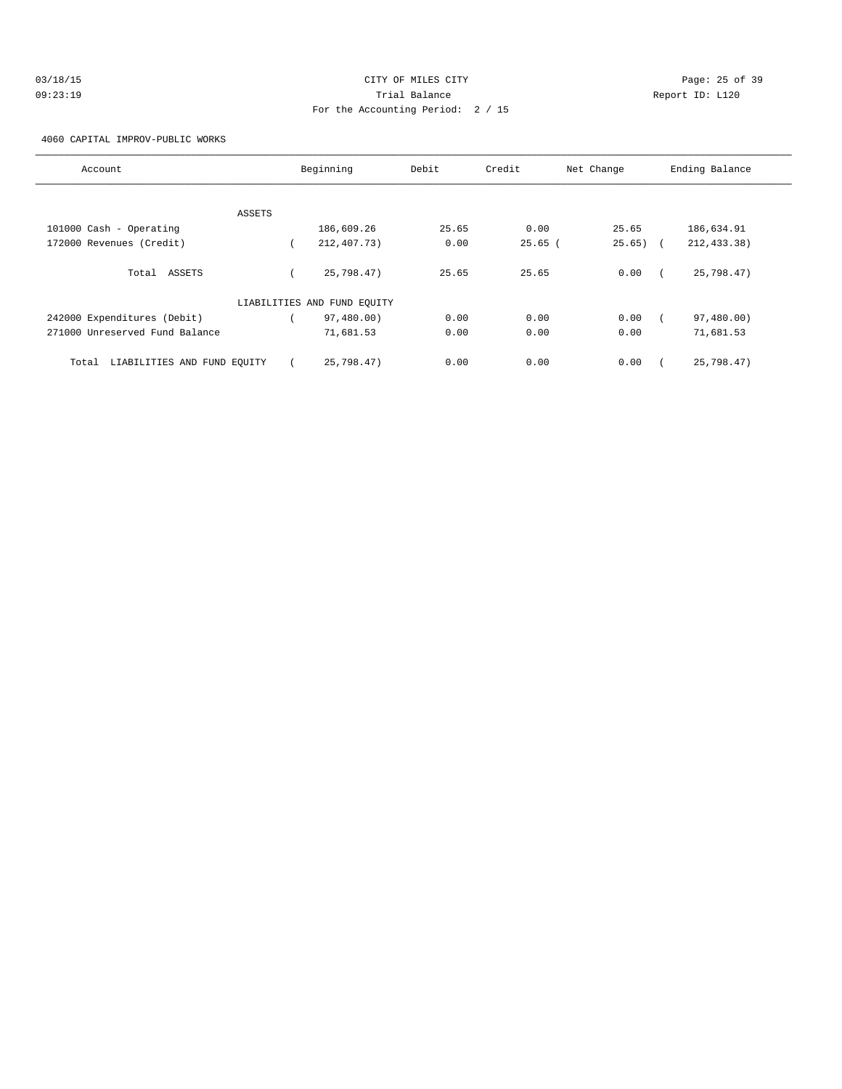| 03/18/15 |  |
|----------|--|
| 09:23:19 |  |

# CITY OF MILES CITY CONTROL CONTROL CONTROL CONTROL CONTROL PAGE: 25 of 39 Trial Balance and Communicated Report ID: L120 For the Accounting Period: 2 / 15

4060 CAPITAL IMPROV-PUBLIC WORKS

| Account                              | Beginning                   | Debit | Credit    | Net Change  | Ending Balance |
|--------------------------------------|-----------------------------|-------|-----------|-------------|----------------|
|                                      |                             |       |           |             |                |
| ASSETS                               |                             |       |           |             |                |
| 101000 Cash - Operating              | 186,609.26                  | 25.65 | 0.00      | 25.65       | 186,634.91     |
| 172000 Revenues (Credit)             | 212,407.73)                 | 0.00  | $25.65$ ( | $25.65$ ) ( | 212, 433.38)   |
| Total ASSETS                         | 25,798.47)                  | 25.65 | 25.65     | 0.00        | 25,798.47)     |
|                                      | LIABILITIES AND FUND EQUITY |       |           |             |                |
| 242000 Expenditures (Debit)          | 97,480.00)                  | 0.00  | 0.00      | 0.00        | 97,480.00)     |
| 271000 Unreserved Fund Balance       | 71,681.53                   | 0.00  | 0.00      | 0.00        | 71,681.53      |
| LIABILITIES AND FUND EOUITY<br>Total | 25,798.47)                  | 0.00  | 0.00      | 0.00        | 25,798.47)     |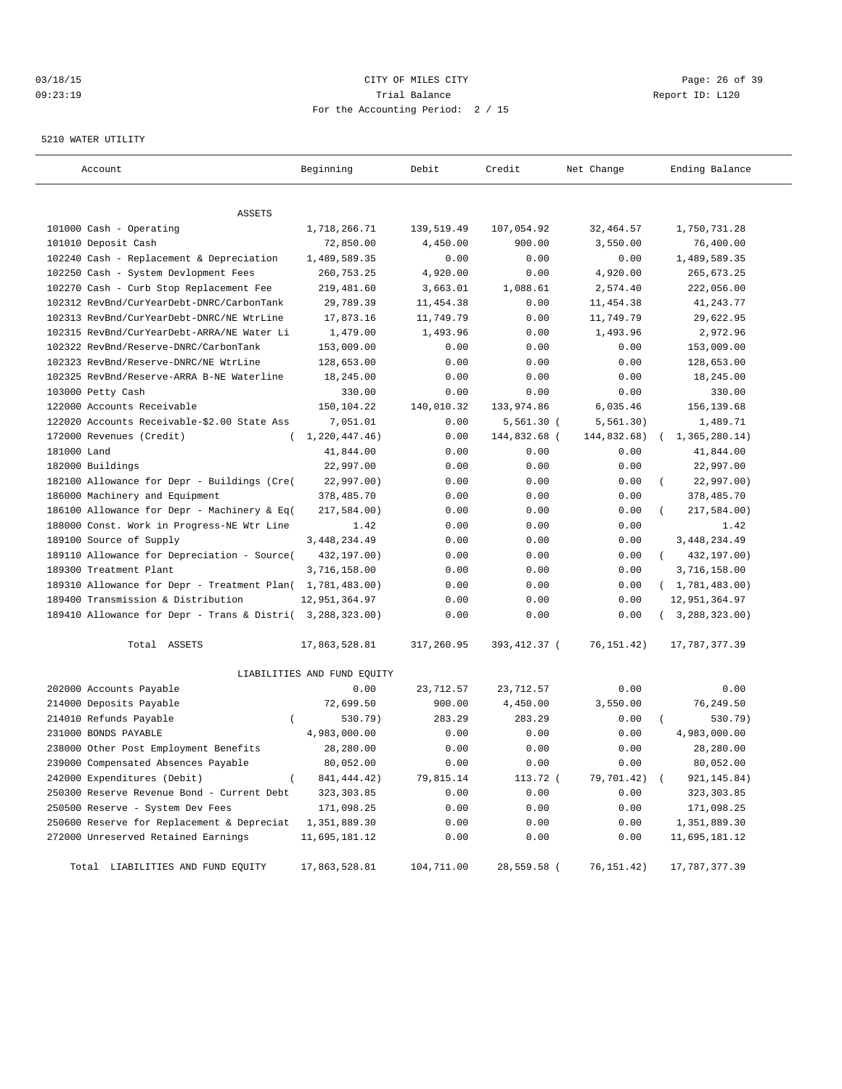### 03/18/15 Page: 26 of 39 09:23:19 Trial Balance Report ID: L120 For the Accounting Period: 2 / 15

#### 5210 WATER UTILITY

| Account                                                   | Beginning                   | Debit      | Credit        | Net Change   | Ending Balance          |
|-----------------------------------------------------------|-----------------------------|------------|---------------|--------------|-------------------------|
|                                                           |                             |            |               |              |                         |
| ASSETS                                                    |                             |            |               |              |                         |
| 101000 Cash - Operating                                   | 1,718,266.71                | 139,519.49 | 107,054.92    | 32,464.57    | 1,750,731.28            |
| 101010 Deposit Cash                                       | 72,850.00                   | 4,450.00   | 900.00        | 3,550.00     | 76,400.00               |
| 102240 Cash - Replacement & Depreciation                  | 1,489,589.35                | 0.00       | 0.00          | 0.00         | 1,489,589.35            |
| 102250 Cash - System Devlopment Fees                      | 260,753.25                  | 4,920.00   | 0.00          | 4,920.00     | 265,673.25              |
| 102270 Cash - Curb Stop Replacement Fee                   | 219,481.60                  | 3,663.01   | 1,088.61      | 2,574.40     | 222,056.00              |
| 102312 RevBnd/CurYearDebt-DNRC/CarbonTank                 | 29,789.39                   | 11,454.38  | 0.00          | 11,454.38    | 41, 243. 77             |
| 102313 RevBnd/CurYearDebt-DNRC/NE WtrLine                 | 17,873.16                   | 11,749.79  | 0.00          | 11,749.79    | 29,622.95               |
| 102315 RevBnd/CurYearDebt-ARRA/NE Water Li                | 1,479.00                    | 1,493.96   | 0.00          | 1,493.96     | 2,972.96                |
| 102322 RevBnd/Reserve-DNRC/CarbonTank                     | 153,009.00                  | 0.00       | 0.00          | 0.00         | 153,009.00              |
| 102323 RevBnd/Reserve-DNRC/NE WtrLine                     | 128,653.00                  | 0.00       | 0.00          | 0.00         | 128,653.00              |
| 102325 RevBnd/Reserve-ARRA B-NE Waterline                 | 18,245.00                   | 0.00       | 0.00          | 0.00         | 18,245.00               |
| 103000 Petty Cash                                         | 330.00                      | 0.00       | 0.00          | 0.00         | 330.00                  |
| 122000 Accounts Receivable                                | 150,104.22                  | 140,010.32 | 133,974.86    | 6,035.46     | 156,139.68              |
| 122020 Accounts Receivable-\$2.00 State Ass               | 7,051.01                    | 0.00       | $5,561.30$ (  | 5, 561.30)   | 1,489.71                |
| 172000 Revenues (Credit)                                  | 1,220,447.46)               | 0.00       | 144,832.68 (  | 144,832.68)  | 1,365,280.14)           |
| 181000 Land                                               | 41,844.00                   | 0.00       | 0.00          | 0.00         | 41,844.00               |
| 182000 Buildings                                          | 22,997.00                   | 0.00       | 0.00          | 0.00         | 22,997.00               |
| 182100 Allowance for Depr - Buildings (Cre(               | 22,997.00)                  | 0.00       | 0.00          | 0.00         | 22,997.00)              |
| 186000 Machinery and Equipment                            | 378,485.70                  | 0.00       | 0.00          | 0.00         | 378,485.70              |
| 186100 Allowance for Depr - Machinery & Eq(               | 217,584.00)                 | 0.00       | 0.00          | 0.00         | 217,584.00)             |
| 188000 Const. Work in Progress-NE Wtr Line                | 1.42                        | 0.00       | 0.00          | 0.00         | 1.42                    |
| 189100 Source of Supply                                   | 3, 448, 234.49              | 0.00       | 0.00          | 0.00         | 3, 448, 234.49          |
| 189110 Allowance for Depreciation - Source(               | 432,197.00)                 | 0.00       | 0.00          | 0.00         | 432,197.00)<br>$\left($ |
| 189300 Treatment Plant                                    | 3,716,158.00                | 0.00       | 0.00          | 0.00         | 3,716,158.00            |
| 189310 Allowance for Depr - Treatment Plan( 1,781,483.00) |                             | 0.00       | 0.00          | 0.00         | (1, 781, 483.00)        |
| 189400 Transmission & Distribution                        | 12,951,364.97               | 0.00       | 0.00          | 0.00         | 12,951,364.97           |
| 189410 Allowance for Depr - Trans & Distri( 3,288,323.00) |                             | 0.00       | 0.00          | 0.00         | (3, 288, 323.00)        |
| Total ASSETS                                              | 17,863,528.81               | 317,260.95 | 393, 412.37 ( | 76,151.42)   | 17,787,377.39           |
|                                                           | LIABILITIES AND FUND EQUITY |            |               |              |                         |
| 202000 Accounts Payable                                   | 0.00                        | 23,712.57  | 23,712.57     | 0.00         | 0.00                    |
| 214000 Deposits Payable                                   | 72,699.50                   | 900.00     | 4,450.00      | 3,550.00     | 76, 249.50              |
| 214010 Refunds Payable<br>$\left($                        | 530.79)                     | 283.29     | 283.29        | 0.00         | $530.79$ )              |
| 231000 BONDS PAYABLE                                      | 4,983,000.00                | 0.00       | 0.00          | 0.00         | 4,983,000.00            |
| 238000 Other Post Employment Benefits                     | 28,280.00                   | 0.00       | 0.00          | 0.00         | 28,280.00               |
| 239000 Compensated Absences Payable                       | 80,052.00                   | 0.00       | 0.00          | 0.00         | 80,052.00               |
| 242000 Expenditures (Debit)<br>$\left($                   | 841, 444. 42)               | 79,815.14  | 113.72 (      | 79,701.42) ( | 921,145.84)             |
| 250300 Reserve Revenue Bond - Current Debt                | 323, 303.85                 | 0.00       | 0.00          | 0.00         | 323,303.85              |
| 250500 Reserve - System Dev Fees                          | 171,098.25                  | 0.00       | 0.00          | 0.00         | 171,098.25              |
| 250600 Reserve for Replacement & Depreciat                | 1,351,889.30                | 0.00       | 0.00          | 0.00         | 1,351,889.30            |
| 272000 Unreserved Retained Earnings                       | 11,695,181.12               | 0.00       | 0.00          | 0.00         | 11,695,181.12           |
| Total LIABILITIES AND FUND EQUITY                         | 17,863,528.81               | 104,711.00 | 28,559.58 (   | 76,151.42)   | 17,787,377.39           |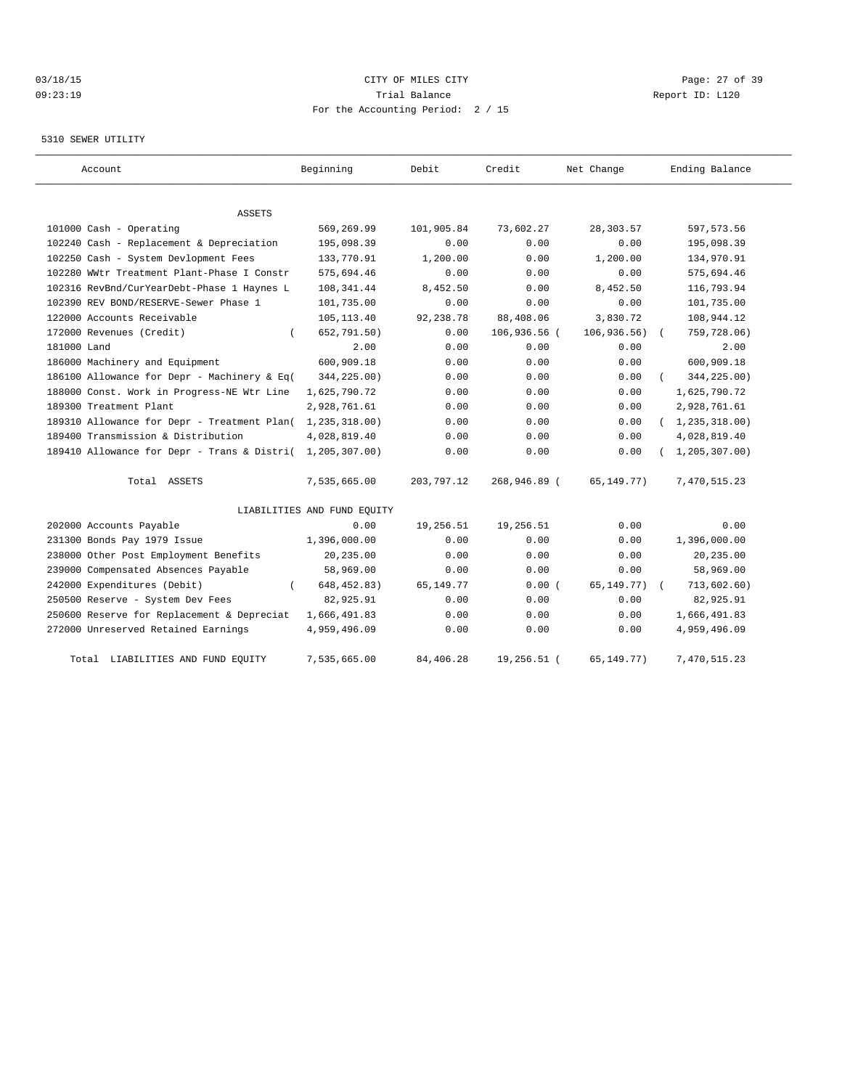# 03/18/15 Page: 27 of 39 09:23:19 Trial Balance Report ID: L120 For the Accounting Period: 2 / 15

### 5310 SEWER UTILITY

| Account                                     | Beginning                   | Debit       | Credit       | Net Change   | Ending Balance   |
|---------------------------------------------|-----------------------------|-------------|--------------|--------------|------------------|
|                                             |                             |             |              |              |                  |
| ASSETS                                      |                             |             |              |              |                  |
| 101000 Cash - Operating                     | 569,269.99                  | 101,905.84  | 73,602.27    | 28,303.57    | 597, 573.56      |
| 102240 Cash - Replacement & Depreciation    | 195,098.39                  | 0.00        | 0.00         | 0.00         | 195,098.39       |
| 102250 Cash - System Devlopment Fees        | 133,770.91                  | 1,200.00    | 0.00         | 1,200.00     | 134,970.91       |
| 102280 WWtr Treatment Plant-Phase I Constr  | 575,694.46                  | 0.00        | 0.00         | 0.00         | 575,694.46       |
| 102316 RevBnd/CurYearDebt-Phase 1 Haynes L  | 108, 341.44                 | 8,452.50    | 0.00         | 8,452.50     | 116,793.94       |
| 102390 REV BOND/RESERVE-Sewer Phase 1       | 101,735.00                  | 0.00        | 0.00         | 0.00         | 101,735.00       |
| 122000 Accounts Receivable                  | 105, 113.40                 | 92,238.78   | 88,408.06    | 3,830.72     | 108,944.12       |
| 172000 Revenues (Credit)                    | 652,791.50)                 | 0.00        | 106,936.56 ( | 106, 936.56) | 759,728.06)      |
| 181000 Land                                 | 2.00                        | 0.00        | 0.00         | 0.00         | 2.00             |
| 186000 Machinery and Equipment              | 600,909.18                  | 0.00        | 0.00         | 0.00         | 600,909.18       |
| 186100 Allowance for Depr - Machinery & Eq( | 344,225.00)                 | 0.00        | 0.00         | 0.00         | 344,225.00)      |
| 188000 Const. Work in Progress-NE Wtr Line  | 1,625,790.72                | 0.00        | 0.00         | 0.00         | 1,625,790.72     |
| 189300 Treatment Plant                      | 2,928,761.61                | 0.00        | 0.00         | 0.00         | 2,928,761.61     |
| 189310 Allowance for Depr - Treatment Plan( | 1,235,318.00)               | 0.00        | 0.00         | 0.00         | (1, 235, 318.00) |
| 189400 Transmission & Distribution          | 4,028,819.40                | 0.00        | 0.00         | 0.00         | 4,028,819.40     |
| 189410 Allowance for Depr - Trans & Distri( | 1,205,307.00)               | 0.00        | 0.00         | 0.00         | 1, 205, 307.00   |
| Total ASSETS                                | 7,535,665.00                | 203,797.12  | 268,946.89 ( | 65,149.77)   | 7,470,515.23     |
|                                             | LIABILITIES AND FUND EQUITY |             |              |              |                  |
| 202000 Accounts Payable                     | 0.00                        | 19,256.51   | 19,256.51    | 0.00         | 0.00             |
| 231300 Bonds Pay 1979 Issue                 | 1,396,000.00                | 0.00        | 0.00         | 0.00         | 1,396,000.00     |
| 238000 Other Post Employment Benefits       | 20,235.00                   | 0.00        | 0.00         | 0.00         | 20,235.00        |
| 239000 Compensated Absences Payable         | 58,969.00                   | 0.00        | 0.00         | 0.00         | 58,969.00        |
| 242000 Expenditures (Debit)                 | 648, 452.83)                | 65, 149. 77 | 0.00(        | 65,149.77)   | 713,602.60)      |
| 250500 Reserve - System Dev Fees            | 82,925.91                   | 0.00        | 0.00         | 0.00         | 82,925.91        |
| 250600 Reserve for Replacement & Depreciat  | 1,666,491.83                | 0.00        | 0.00         | 0.00         | 1,666,491.83     |
| 272000 Unreserved Retained Earnings         | 4,959,496.09                | 0.00        | 0.00         | 0.00         | 4,959,496.09     |
| LIABILITIES AND FUND EQUITY<br>Total        | 7,535,665.00                | 84,406.28   | 19,256.51 (  | 65, 149. 77) | 7,470,515.23     |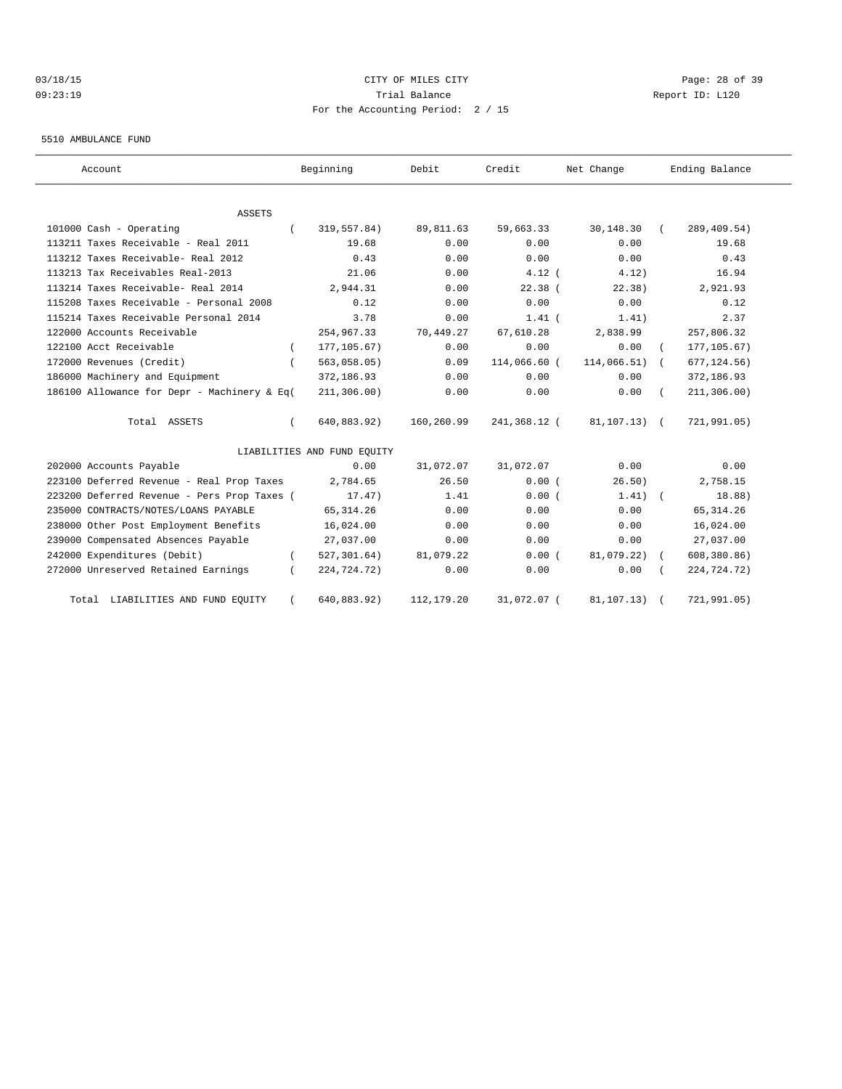# 03/18/15 Page: 28 of 39 09:23:19 Trial Balance Report ID: L120 For the Accounting Period: 2 / 15

#### 5510 AMBULANCE FUND

| Account                                     | Beginning                   | Debit      | Credit       | Net Change      | Ending Balance |
|---------------------------------------------|-----------------------------|------------|--------------|-----------------|----------------|
| <b>ASSETS</b>                               |                             |            |              |                 |                |
| 101000 Cash - Operating                     | 319,557.84)                 | 89,811.63  | 59,663.33    | 30,148.30       | 289, 409.54)   |
| 113211 Taxes Receivable - Real 2011         | 19.68                       | 0.00       | 0.00         | 0.00            | 19.68          |
| 113212 Taxes Receivable- Real 2012          | 0.43                        | 0.00       | 0.00         | 0.00            | 0.43           |
| 113213 Tax Receivables Real-2013            | 21.06                       | 0.00       | $4.12$ (     | 4.12)           | 16.94          |
| 113214 Taxes Receivable- Real 2014          | 2,944.31                    | 0.00       | 22.38(       | 22.38)          | 2,921.93       |
| 115208 Taxes Receivable - Personal 2008     | 0.12                        | 0.00       | 0.00         | 0.00            | 0.12           |
| 115214 Taxes Receivable Personal 2014       | 3.78                        | 0.00       | $1.41$ (     | 1.41)           | 2.37           |
| 122000 Accounts Receivable                  | 254,967.33                  | 70,449.27  | 67,610.28    | 2,838.99        | 257,806.32     |
| 122100 Acct Receivable                      | 177, 105.67)                | 0.00       | 0.00         | 0.00            | 177, 105.67)   |
| 172000 Revenues (Credit)                    | 563,058.05)                 | 0.09       | 114,066.60 ( | $114,066.51)$ ( | 677, 124.56)   |
| 186000 Machinery and Equipment              | 372,186.93                  | 0.00       | 0.00         | 0.00            | 372,186.93     |
| 186100 Allowance for Depr - Machinery & Eq( | 211, 306.00)                | 0.00       | 0.00         | 0.00            | 211, 306.00)   |
| Total ASSETS                                | 640,883.92)                 | 160,260.99 | 241,368.12 ( | 81,107.13) (    | 721,991.05)    |
|                                             | LIABILITIES AND FUND EQUITY |            |              |                 |                |
| 202000 Accounts Payable                     | 0.00                        | 31,072.07  | 31,072.07    | 0.00            | 0.00           |
| 223100 Deferred Revenue - Real Prop Taxes   | 2,784.65                    | 26.50      | 0.00(        | 26.50)          | 2,758.15       |
| 223200 Deferred Revenue - Pers Prop Taxes ( | 17.47)                      | 1.41       | 0.00(        | $1.41)$ (       | 18.88)         |
| 235000 CONTRACTS/NOTES/LOANS PAYABLE        | 65, 314.26                  | 0.00       | 0.00         | 0.00            | 65, 314.26     |
| 238000 Other Post Employment Benefits       | 16,024.00                   | 0.00       | 0.00         | 0.00            | 16,024.00      |
| 239000 Compensated Absences Payable         | 27,037.00                   | 0.00       | 0.00         | 0.00            | 27,037.00      |
| 242000 Expenditures (Debit)                 | 527, 301.64)                | 81,079.22  | 0.00(        | 81,079.22)      | 608, 380.86)   |
| 272000 Unreserved Retained Earnings         | 224,724.72)                 | 0.00       | 0.00         | 0.00            | 224,724.72)    |
| LIABILITIES AND FUND EQUITY<br>Total        | 640,883.92)                 | 112,179.20 | 31,072.07 (  | 81,107.13)      | 721,991.05)    |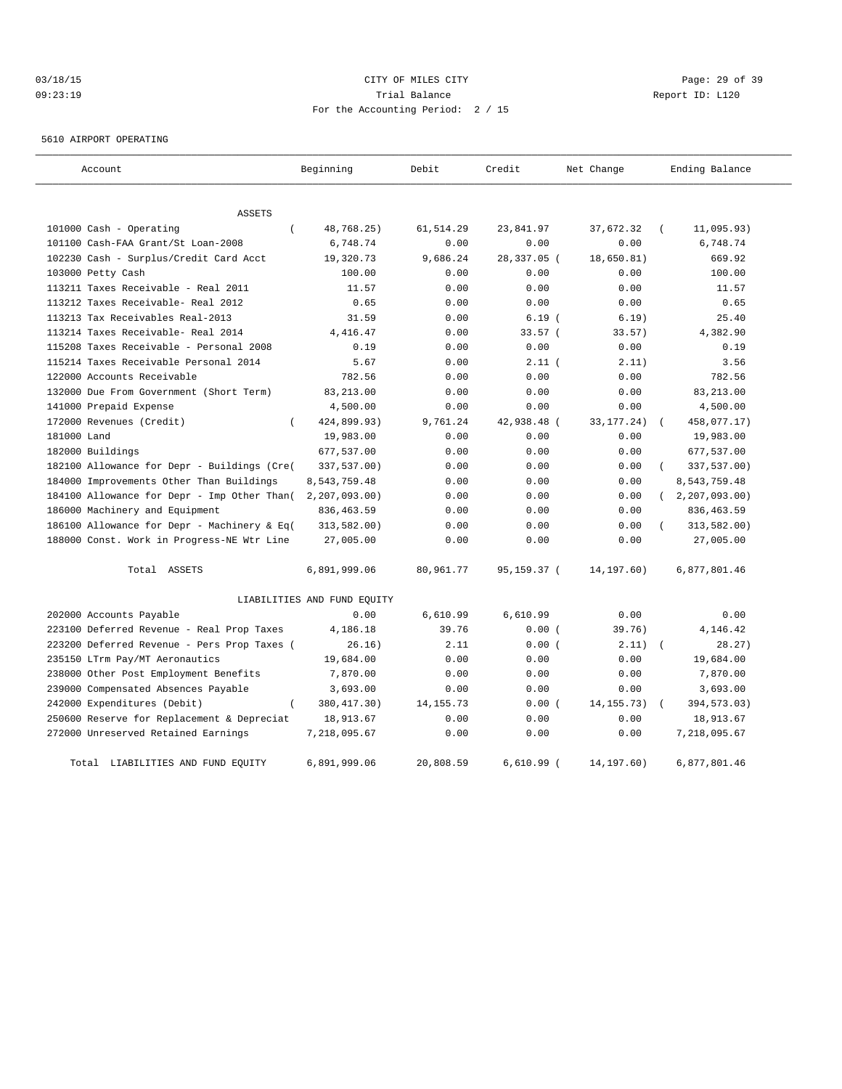# 03/18/15 Page: 29 of 39 09:23:19 Trial Balance Report ID: L120 For the Accounting Period: 2 / 15

5610 AIRPORT OPERATING

| Account                                     | Beginning                   | Debit       | Credit       | Net Change   | Ending Balance |
|---------------------------------------------|-----------------------------|-------------|--------------|--------------|----------------|
| <b>ASSETS</b>                               |                             |             |              |              |                |
| 101000 Cash - Operating                     | 48,768.25)                  | 61,514.29   | 23,841.97    | 37,672.32    | 11,095.93)     |
| 101100 Cash-FAA Grant/St Loan-2008          | 6,748.74                    | 0.00        | 0.00         | 0.00         | 6,748.74       |
| 102230 Cash - Surplus/Credit Card Acct      | 19,320.73                   | 9,686.24    | 28,337.05 (  | 18,650.81)   | 669.92         |
| 103000 Petty Cash                           | 100.00                      | 0.00        | 0.00         | 0.00         | 100.00         |
| 113211 Taxes Receivable - Real 2011         | 11.57                       | 0.00        | 0.00         | 0.00         | 11.57          |
| 113212 Taxes Receivable- Real 2012          | 0.65                        | 0.00        | 0.00         | 0.00         | 0.65           |
| 113213 Tax Receivables Real-2013            | 31.59                       | 0.00        | 6.19(        | 6.19)        | 25.40          |
| 113214 Taxes Receivable- Real 2014          | 4,416.47                    | 0.00        | 33.57(       | 33.57)       | 4,382.90       |
| 115208 Taxes Receivable - Personal 2008     | 0.19                        | 0.00        | 0.00         | 0.00         | 0.19           |
| 115214 Taxes Receivable Personal 2014       | 5.67                        | 0.00        | $2.11$ (     | 2.11)        | 3.56           |
| 122000 Accounts Receivable                  | 782.56                      | 0.00        | 0.00         | 0.00         | 782.56         |
| 132000 Due From Government (Short Term)     | 83,213.00                   | 0.00        | 0.00         | 0.00         | 83, 213.00     |
| 141000 Prepaid Expense                      | 4,500.00                    | 0.00        | 0.00         | 0.00         | 4,500.00       |
| 172000 Revenues (Credit)<br>$\left($        | 424,899.93)                 | 9,761.24    | 42,938.48 (  | 33, 177. 24) | 458,077.17)    |
| 181000 Land                                 | 19,983.00                   | 0.00        | 0.00         | 0.00         | 19,983.00      |
| 182000 Buildings                            | 677,537.00                  | 0.00        | 0.00         | 0.00         | 677,537.00     |
| 182100 Allowance for Depr - Buildings (Cre( | 337,537.00)                 | 0.00        | 0.00         | 0.00         | 337,537.00)    |
| 184000 Improvements Other Than Buildings    | 8,543,759.48                | 0.00        | 0.00         | 0.00         | 8,543,759.48   |
| 184100 Allowance for Depr - Imp Other Than( | 2, 207, 093.00              | 0.00        | 0.00         | 0.00         | 2, 207, 093.00 |
| 186000 Machinery and Equipment              | 836, 463.59                 | 0.00        | 0.00         | 0.00         | 836, 463.59    |
| 186100 Allowance for Depr - Machinery & Eq( | 313,582.00)                 | 0.00        | 0.00         | 0.00         | 313,582.00)    |
| 188000 Const. Work in Progress-NE Wtr Line  | 27,005.00                   | 0.00        | 0.00         | 0.00         | 27,005.00      |
| Total ASSETS                                | 6,891,999.06                | 80,961.77   | 95,159.37 (  | 14, 197.60)  | 6,877,801.46   |
|                                             | LIABILITIES AND FUND EQUITY |             |              |              |                |
| 202000 Accounts Payable                     | 0.00                        | 6,610.99    | 6,610.99     | 0.00         | 0.00           |
| 223100 Deferred Revenue - Real Prop Taxes   | 4,186.18                    | 39.76       | 0.00(        | 39.76)       | 4,146.42       |
| 223200 Deferred Revenue - Pers Prop Taxes ( | 26.16)                      | 2.11        | 0.00(        | 2.11)        | 28.27)         |
| 235150 LTrm Pay/MT Aeronautics              | 19,684.00                   | 0.00        | 0.00         | 0.00         | 19,684.00      |
| 238000 Other Post Employment Benefits       | 7,870.00                    | 0.00        | 0.00         | 0.00         | 7,870.00       |
| 239000 Compensated Absences Payable         | 3,693.00                    | 0.00        | 0.00         | 0.00         | 3,693.00       |
| 242000 Expenditures (Debit)<br>$\left($     | 380, 417.30)                | 14, 155. 73 | 0.00(        | 14, 155. 73) | 394,573.03)    |
| 250600 Reserve for Replacement & Depreciat  | 18,913.67                   | 0.00        | 0.00         | 0.00         | 18,913.67      |
| 272000 Unreserved Retained Earnings         | 7,218,095.67                | 0.00        | 0.00         | 0.00         | 7,218,095.67   |
| Total LIABILITIES AND FUND EQUITY           | 6,891,999.06                | 20,808.59   | $6,610.99$ ( | 14, 197.60)  | 6,877,801.46   |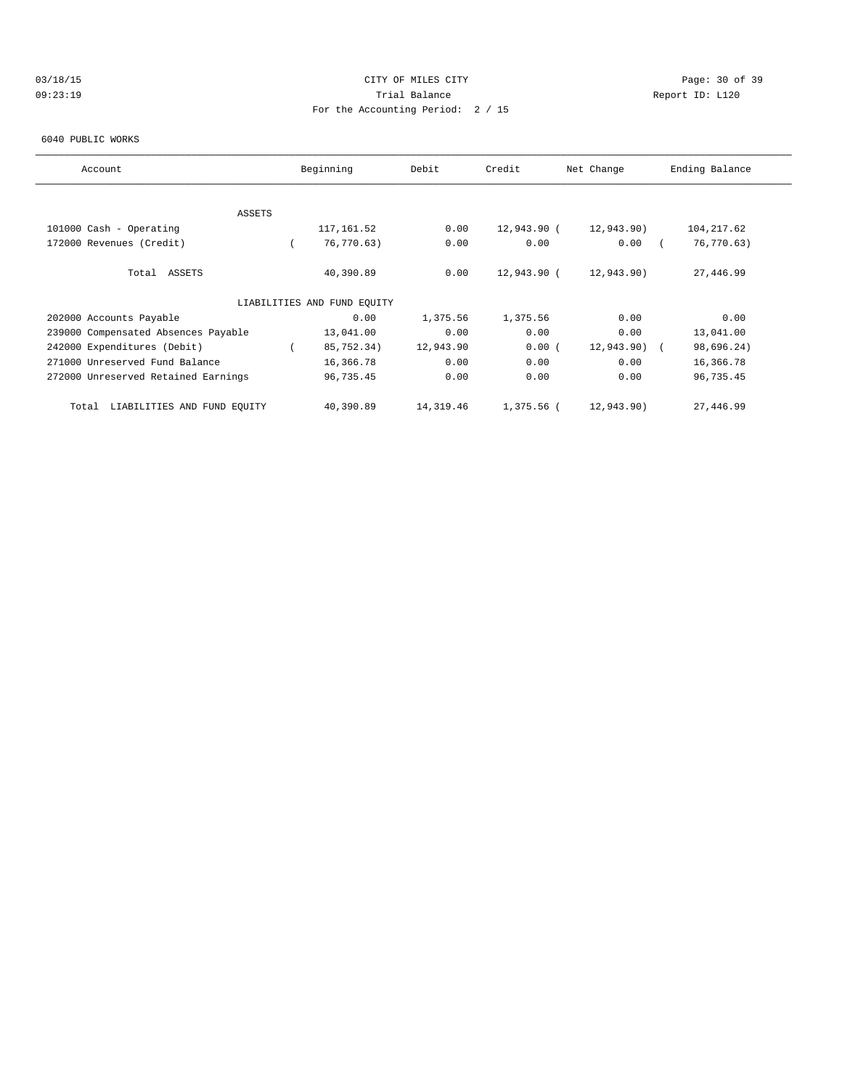# 03/18/15 Page: 30 of 39 09:23:19 Trial Balance Report ID: L120 For the Accounting Period: 2 / 15

#### 6040 PUBLIC WORKS

| Account                              | Beginning                   | Debit     | Credit      | Net Change    | Ending Balance |
|--------------------------------------|-----------------------------|-----------|-------------|---------------|----------------|
|                                      |                             |           |             |               |                |
|                                      |                             |           |             |               |                |
| ASSETS                               |                             |           |             |               |                |
| 101000 Cash - Operating              | 117,161.52                  | 0.00      | 12,943.90 ( | 12,943.90)    | 104, 217.62    |
| 172000 Revenues (Credit)             | 76,770.63)                  | 0.00      | 0.00        | 0.00          | 76,770.63)     |
| Total ASSETS                         | 40,390.89                   | 0.00      | 12,943.90 ( | 12,943.90)    | 27,446.99      |
|                                      | LIABILITIES AND FUND EOUITY |           |             |               |                |
| 202000 Accounts Payable              | 0.00                        | 1,375.56  | 1,375.56    | 0.00          | 0.00           |
| 239000 Compensated Absences Payable  | 13,041.00                   | 0.00      | 0.00        | 0.00          | 13,041.00      |
| 242000 Expenditures (Debit)          | 85,752.34)                  | 12,943.90 | 0.00(       | $12,943.90$ ( | 98,696.24)     |
| 271000 Unreserved Fund Balance       | 16,366.78                   | 0.00      | 0.00        | 0.00          | 16,366.78      |
| 272000 Unreserved Retained Earnings  | 96,735.45                   | 0.00      | 0.00        | 0.00          | 96,735.45      |
| LIABILITIES AND FUND EOUITY<br>Total | 40,390.89                   | 14,319.46 | 1,375.56 (  | 12,943.90)    | 27,446.99      |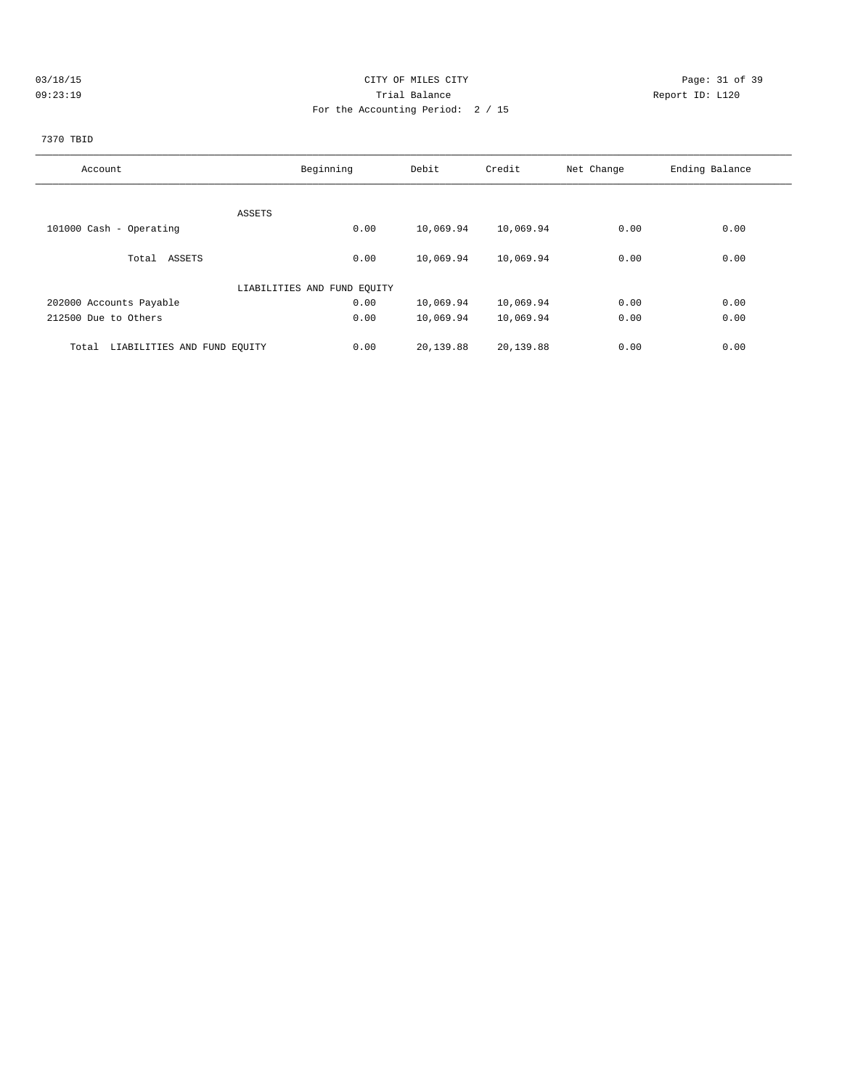# 03/18/15 Page: 31 of 39 09:23:19 Trial Balance Report ID: L120 For the Accounting Period: 2 / 15

# 7370 TBID

| Account                              | Beginning                   | Debit     | Credit    | Net Change | Ending Balance |
|--------------------------------------|-----------------------------|-----------|-----------|------------|----------------|
|                                      |                             |           |           |            |                |
| ASSETS                               |                             |           |           |            |                |
| 101000 Cash - Operating              | 0.00                        | 10,069.94 | 10,069.94 | 0.00       | 0.00           |
|                                      |                             |           |           |            |                |
| Total ASSETS                         | 0.00                        | 10,069.94 | 10,069.94 | 0.00       | 0.00           |
|                                      | LIABILITIES AND FUND EQUITY |           |           |            |                |
| 202000 Accounts Payable              | 0.00                        | 10,069.94 | 10,069.94 | 0.00       | 0.00           |
| 212500 Due to Others                 | 0.00                        | 10,069.94 | 10,069.94 | 0.00       | 0.00           |
| LIABILITIES AND FUND EQUITY<br>Total | 0.00                        | 20,139.88 | 20,139.88 | 0.00       | 0.00           |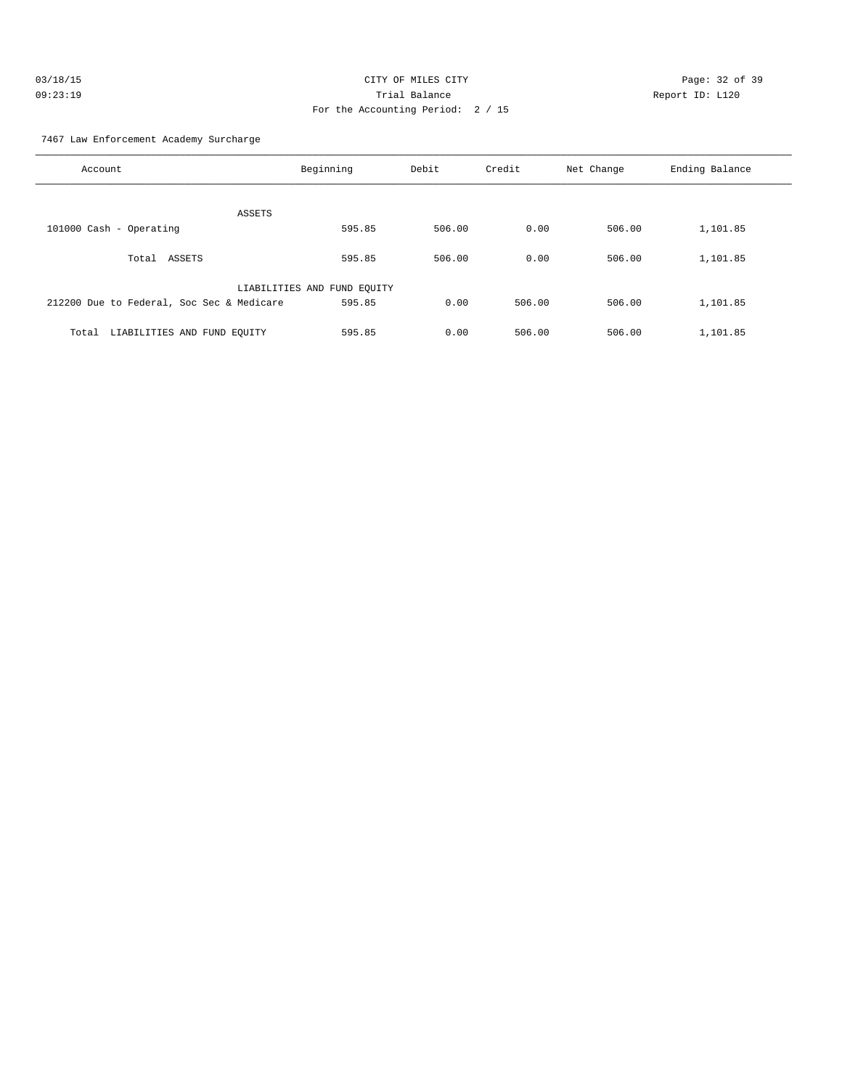| 03/18/15 | CITY OF MILES CITY                | Page: 32 of 39  |
|----------|-----------------------------------|-----------------|
| 09:23:19 | Trial Balance                     | Report ID: L120 |
|          | For the Accounting Period: 2 / 15 |                 |

7467 Law Enforcement Academy Surcharge

| Account                                   | Beginning                   | Debit  | Credit | Net Change | Ending Balance |
|-------------------------------------------|-----------------------------|--------|--------|------------|----------------|
| ASSETS                                    |                             |        |        |            |                |
| 101000 Cash - Operating                   | 595.85                      | 506.00 | 0.00   | 506.00     | 1,101.85       |
| ASSETS<br>Total                           | 595.85                      | 506.00 | 0.00   | 506.00     | 1,101.85       |
|                                           | LIABILITIES AND FUND EQUITY |        |        |            |                |
| 212200 Due to Federal, Soc Sec & Medicare | 595.85                      | 0.00   | 506.00 | 506.00     | 1,101.85       |
| LIABILITIES AND FUND EQUITY<br>Total      | 595.85                      | 0.00   | 506.00 | 506.00     | 1,101.85       |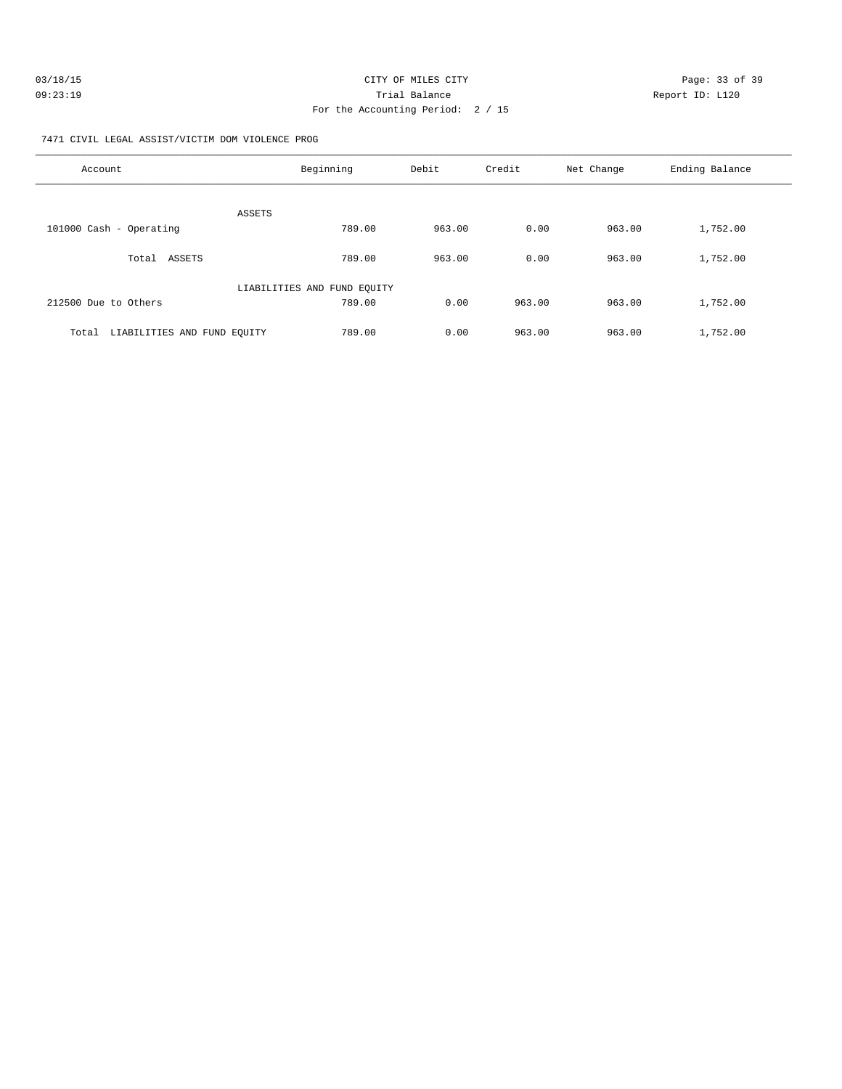| 03/18/15 | CITY OF MILES CITY                | Page: 33 of 39  |
|----------|-----------------------------------|-----------------|
| 09:23:19 | Trial Balance                     | Report ID: L120 |
|          | For the Accounting Period: 2 / 15 |                 |

7471 CIVIL LEGAL ASSIST/VICTIM DOM VIOLENCE PROG

| Account                              | Beginning                   | Debit  | Credit | Net Change | Ending Balance |
|--------------------------------------|-----------------------------|--------|--------|------------|----------------|
| ASSETS                               |                             |        |        |            |                |
| 101000 Cash - Operating              | 789.00                      | 963.00 | 0.00   | 963.00     | 1,752.00       |
| ASSETS<br>Total                      | 789.00                      | 963.00 | 0.00   | 963.00     | 1,752.00       |
|                                      | LIABILITIES AND FUND EQUITY |        |        |            |                |
| 212500 Due to Others                 | 789.00                      | 0.00   | 963.00 | 963.00     | 1,752.00       |
| LIABILITIES AND FUND EOUITY<br>Total | 789.00                      | 0.00   | 963.00 | 963.00     | 1,752.00       |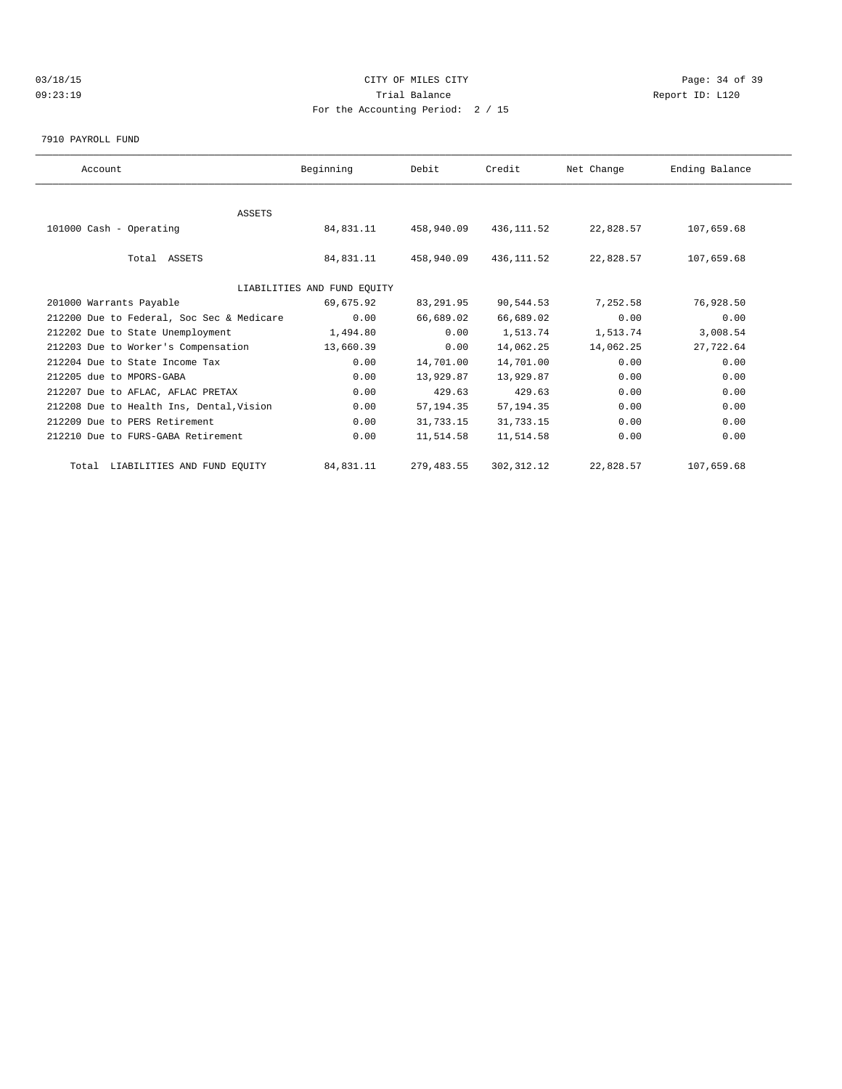# 03/18/15 Page: 34 of 39 09:23:19 Trial Balance Report ID: L120 For the Accounting Period: 2 / 15

#### 7910 PAYROLL FUND

| Account                                   | Beginning                   | Debit      | Credit      | Net Change | Ending Balance |  |
|-------------------------------------------|-----------------------------|------------|-------------|------------|----------------|--|
|                                           |                             |            |             |            |                |  |
| <b>ASSETS</b>                             |                             |            |             |            |                |  |
| 101000 Cash - Operating                   | 84,831.11                   | 458,940.09 | 436,111.52  | 22,828.57  | 107,659.68     |  |
|                                           |                             |            |             |            |                |  |
| Total ASSETS                              | 84,831.11                   | 458,940.09 | 436,111.52  | 22,828.57  | 107,659.68     |  |
|                                           |                             |            |             |            |                |  |
|                                           | LIABILITIES AND FUND EQUITY |            |             |            |                |  |
| 201000 Warrants Payable                   | 69,675.92                   | 83,291.95  | 90,544.53   | 7,252.58   | 76,928.50      |  |
| 212200 Due to Federal, Soc Sec & Medicare | 0.00                        | 66,689.02  | 66,689.02   | 0.00       | 0.00           |  |
| 212202 Due to State Unemployment          | 1,494.80                    | 0.00       | 1,513.74    | 1,513.74   | 3,008.54       |  |
| 212203 Due to Worker's Compensation       | 13,660.39                   | 0.00       | 14,062.25   | 14,062.25  | 27,722.64      |  |
| 212204 Due to State Income Tax            | 0.00                        | 14,701.00  | 14,701.00   | 0.00       | 0.00           |  |
| 212205 due to MPORS-GABA                  | 0.00                        | 13,929.87  | 13,929.87   | 0.00       | 0.00           |  |
| 212207 Due to AFLAC, AFLAC PRETAX         | 0.00                        | 429.63     | 429.63      | 0.00       | 0.00           |  |
| 212208 Due to Health Ins, Dental, Vision  | 0.00                        | 57, 194.35 | 57, 194.35  | 0.00       | 0.00           |  |
| 212209 Due to PERS Retirement             | 0.00                        | 31,733.15  | 31,733.15   | 0.00       | 0.00           |  |
| 212210 Due to FURS-GABA Retirement        | 0.00                        | 11,514.58  | 11,514.58   | 0.00       | 0.00           |  |
| Total LIABILITIES AND FUND EQUITY         | 84,831.11                   | 279,483.55 | 302, 312.12 | 22,828.57  | 107,659.68     |  |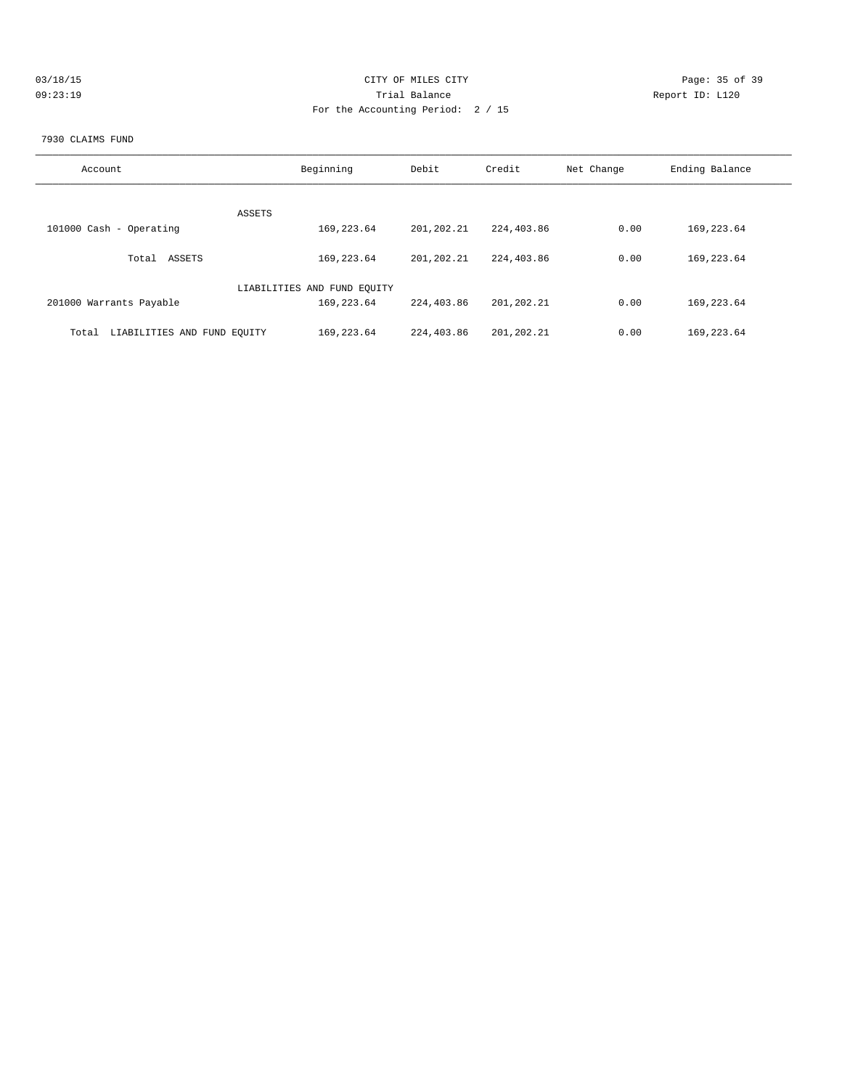| 03/18/15 | CITY OF MILES CITY                | Page: 35 of 39  |
|----------|-----------------------------------|-----------------|
| 09:23:19 | Trial Balance                     | Report ID: L120 |
|          | For the Accounting Period: 2 / 15 |                 |

#### 7930 CLAIMS FUND

| Account                              | Beginning                   | Debit      | Credit     | Net Change | Ending Balance |
|--------------------------------------|-----------------------------|------------|------------|------------|----------------|
| ASSETS                               |                             |            |            |            |                |
| 101000 Cash - Operating              | 169,223.64                  | 201,202.21 | 224,403.86 | 0.00       | 169, 223.64    |
| ASSETS<br>Total                      | 169, 223.64                 | 201,202.21 | 224,403.86 | 0.00       | 169, 223.64    |
|                                      | LIABILITIES AND FUND EQUITY |            |            |            |                |
| 201000 Warrants Payable              | 169,223.64                  | 224,403.86 | 201,202.21 | 0.00       | 169, 223.64    |
| LIABILITIES AND FUND EQUITY<br>Total | 169, 223.64                 | 224,403.86 | 201,202.21 | 0.00       | 169, 223.64    |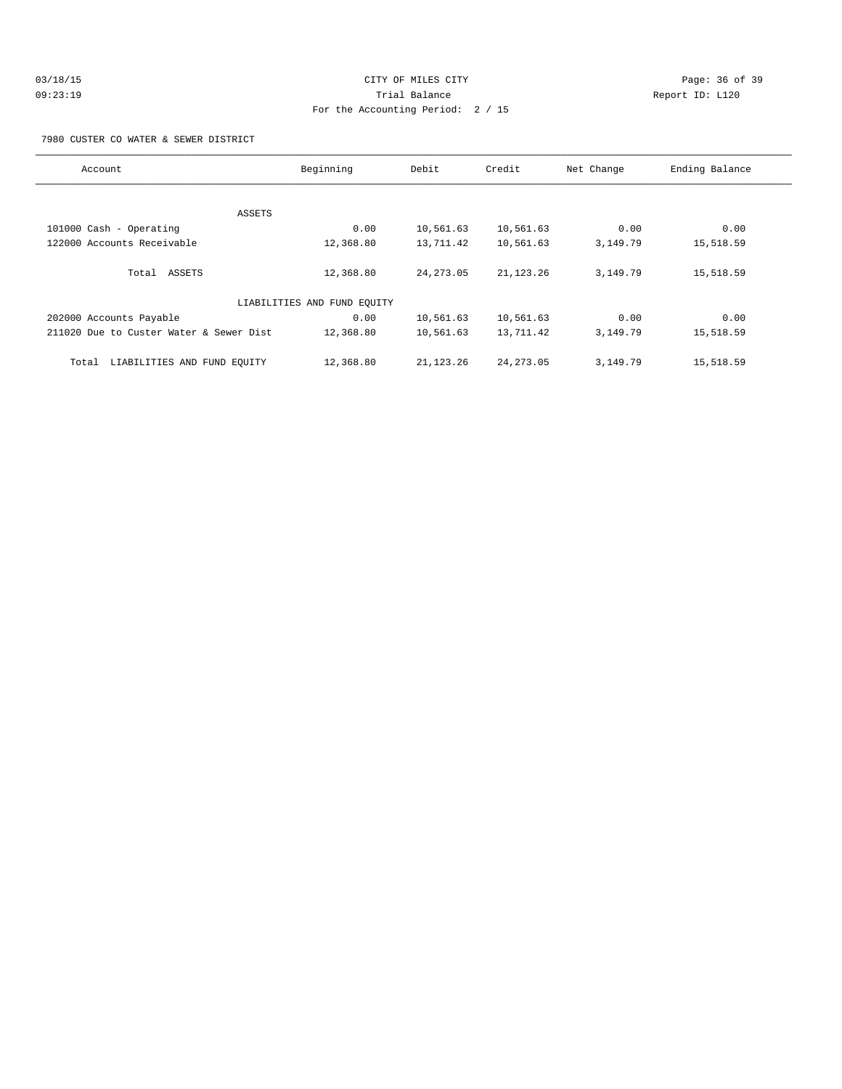| 03/18/15 |  |  |
|----------|--|--|
| 09:23:19 |  |  |

# CITY OF MILES CITY CONTROL CONTROL CONTROL CONTROL CONTROL PAGE: 36 of 39 Trial Balance **Communist Communist Proport ID:** L120 For the Accounting Period: 2 / 15

7980 CUSTER CO WATER & SEWER DISTRICT

| Account                                 | Beginning                   | Debit       | Credit      | Net Change | Ending Balance |
|-----------------------------------------|-----------------------------|-------------|-------------|------------|----------------|
|                                         |                             |             |             |            |                |
|                                         | ASSETS                      |             |             |            |                |
| 101000 Cash - Operating                 | 0.00                        | 10,561.63   | 10,561.63   | 0.00       | 0.00           |
| 122000 Accounts Receivable              | 12,368.80                   | 13,711.42   | 10,561.63   | 3,149.79   | 15,518.59      |
| Total ASSETS                            | 12,368.80                   | 24, 273.05  | 21, 123. 26 | 3,149.79   | 15,518.59      |
|                                         | LIABILITIES AND FUND EQUITY |             |             |            |                |
| 202000 Accounts Payable                 | 0.00                        | 10,561.63   | 10,561.63   | 0.00       | 0.00           |
| 211020 Due to Custer Water & Sewer Dist | 12,368.80                   | 10,561.63   | 13,711.42   | 3,149.79   | 15,518.59      |
| LIABILITIES AND FUND EQUITY<br>Total    | 12,368.80                   | 21, 123. 26 | 24, 273.05  | 3,149.79   | 15,518.59      |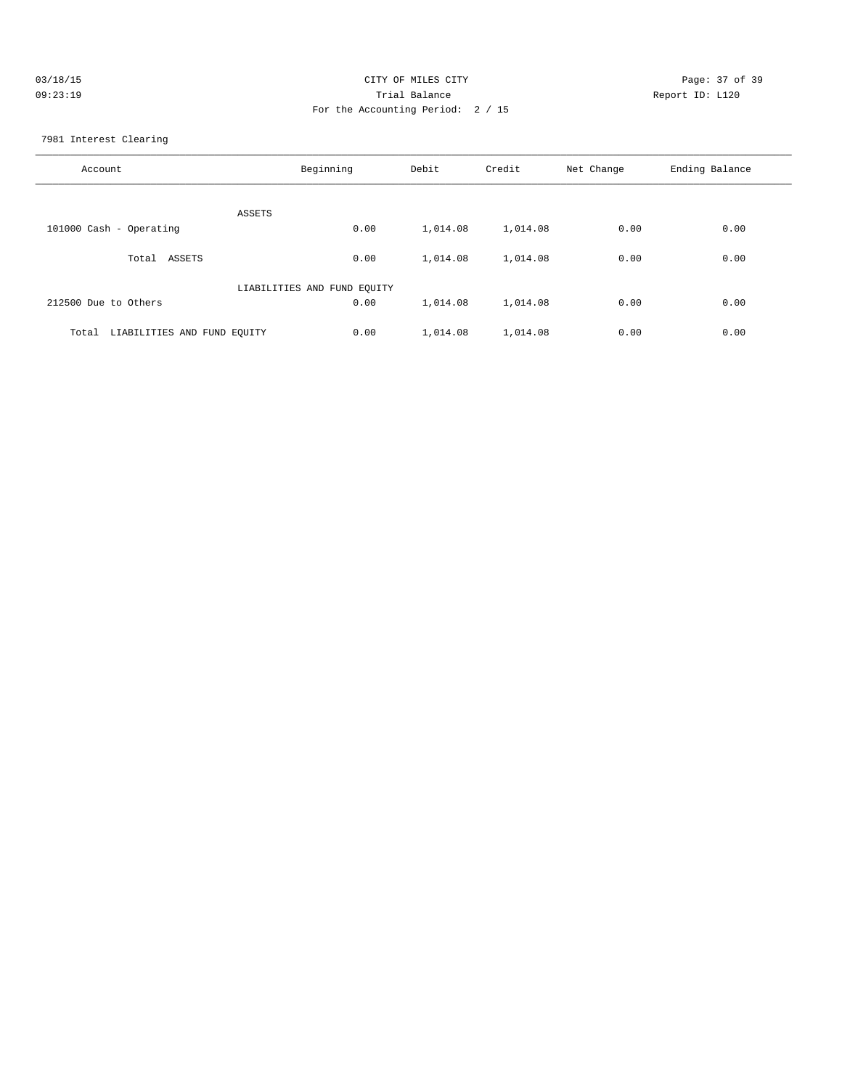| 03/18/15 | CITY OF MILES CITY                | Page: 37 of 39  |
|----------|-----------------------------------|-----------------|
| 09:23:19 | Trial Balance                     | Report ID: L120 |
|          | For the Accounting Period: 2 / 15 |                 |
|          |                                   |                 |

7981 Interest Clearing

| Account                              | Beginning | Debit    | Credit   | Net Change | Ending Balance |
|--------------------------------------|-----------|----------|----------|------------|----------------|
| ASSETS                               |           |          |          |            |                |
| 101000 Cash - Operating              | 0.00      | 1,014.08 | 1,014.08 | 0.00       | 0.00           |
| ASSETS<br>Total                      | 0.00      | 1,014.08 | 1,014.08 | 0.00       | 0.00           |
| LIABILITIES AND FUND EQUITY          |           |          |          |            |                |
| 212500 Due to Others                 | 0.00      | 1,014.08 | 1,014.08 | 0.00       | 0.00           |
| LIABILITIES AND FUND EQUITY<br>Total | 0.00      | 1,014.08 | 1,014.08 | 0.00       | 0.00           |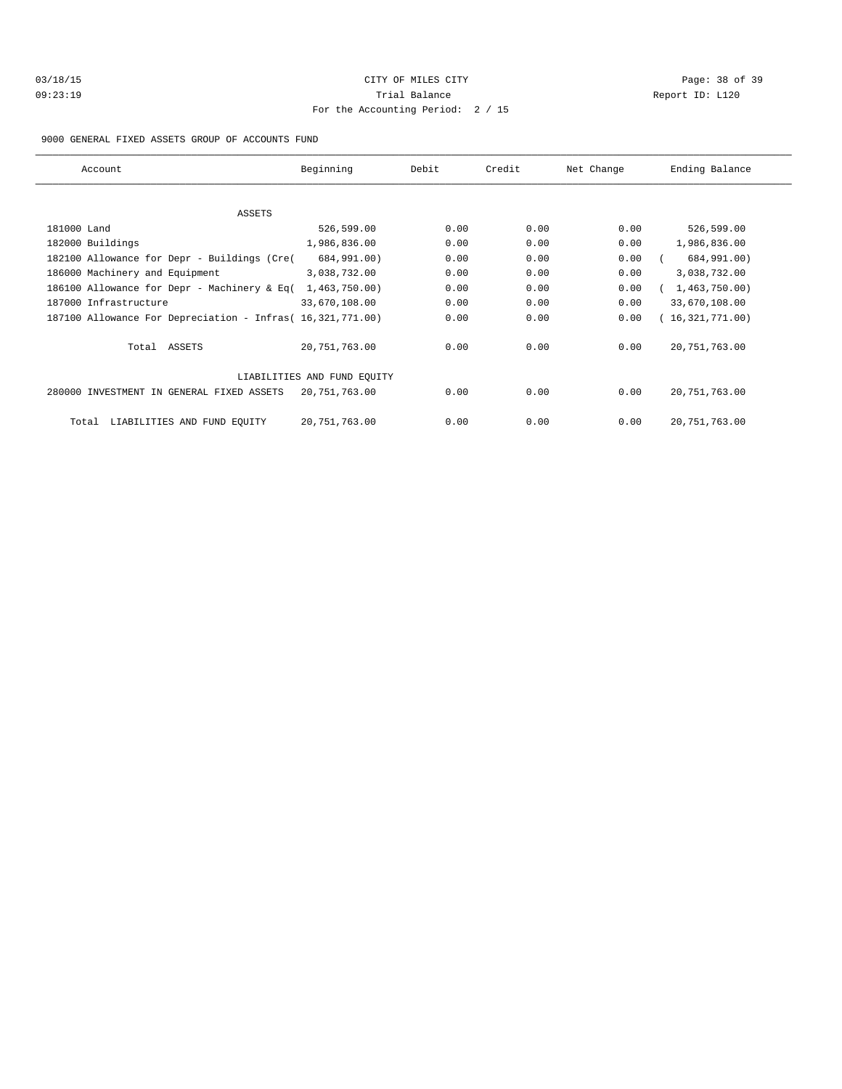| 03/18/15 |  |
|----------|--|
| 09:23:19 |  |

# CITY OF MILES CITY CONTROL CONTROL CONTROL CONTROL CITY Trial Balance **Communist Communist Proport ID:** L120 For the Accounting Period: 2 / 15

#### 9000 GENERAL FIXED ASSETS GROUP OF ACCOUNTS FUND

| Account                                                    | Beginning       | Debit | Credit | Net Change | Ending Balance    |
|------------------------------------------------------------|-----------------|-------|--------|------------|-------------------|
| ASSETS                                                     |                 |       |        |            |                   |
| 181000 Land                                                | 526,599.00      | 0.00  | 0.00   | 0.00       | 526,599.00        |
|                                                            | 1,986,836.00    | 0.00  | 0.00   | 0.00       |                   |
| 182000 Buildings                                           |                 |       |        |            | 1,986,836.00      |
| 182100 Allowance for Depr - Buildings (Cre(                | 684,991.00)     | 0.00  | 0.00   | 0.00       | 684,991.00)       |
| 186000 Machinery and Equipment                             | 3,038,732.00    | 0.00  | 0.00   | 0.00       | 3,038,732.00      |
| 186100 Allowance for Depr - Machinery & Eq(                | 1,463,750.00    | 0.00  | 0.00   | 0.00       | (1, 463, 750.00)  |
| 187000 Infrastructure                                      | 33,670,108.00   | 0.00  | 0.00   | 0.00       | 33,670,108.00     |
| 187100 Allowance For Depreciation - Infras (16,321,771.00) |                 | 0.00  | 0.00   | 0.00       | (16, 321, 771.00) |
| Total ASSETS                                               | 20, 751, 763.00 | 0.00  | 0.00   | 0.00       | 20,751,763.00     |
| LIABILITIES AND FUND EQUITY                                |                 |       |        |            |                   |
| 280000 INVESTMENT IN GENERAL FIXED ASSETS                  | 20,751,763.00   | 0.00  | 0.00   | 0.00       | 20,751,763.00     |
| LIABILITIES AND FUND EOUITY<br>Total                       | 20,751,763.00   | 0.00  | 0.00   | 0.00       | 20, 751, 763.00   |